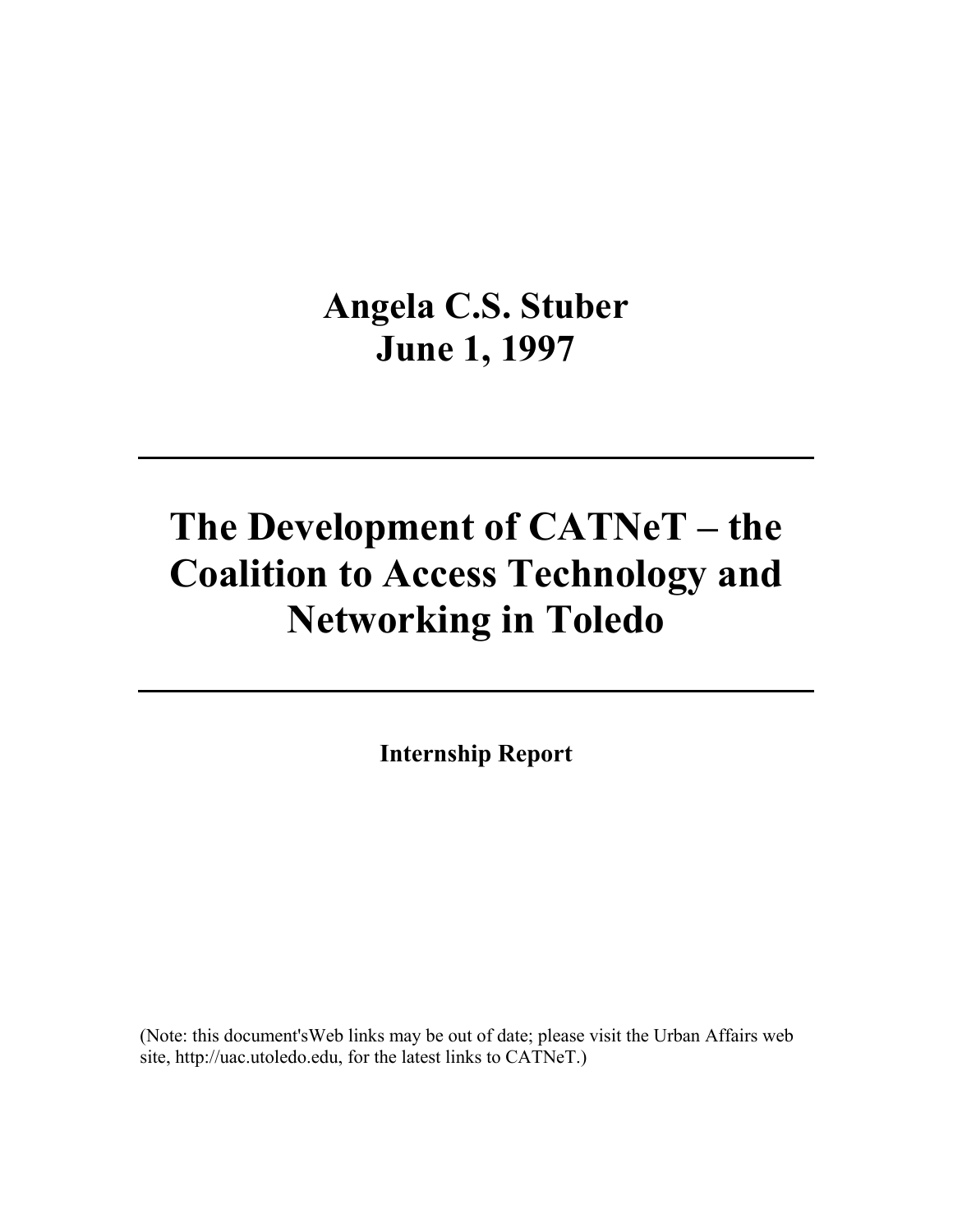# **Angela C.S. Stuber June 1, 1997**

# **The Development of CATNeT – the Coalition to Access Technology and Networking in Toledo**

**Internship Report** 

(Note: this document'sWeb links may be out of date; please visit the Urban Affairs web site, http://uac.utoledo.edu, for the latest links to CATNeT.)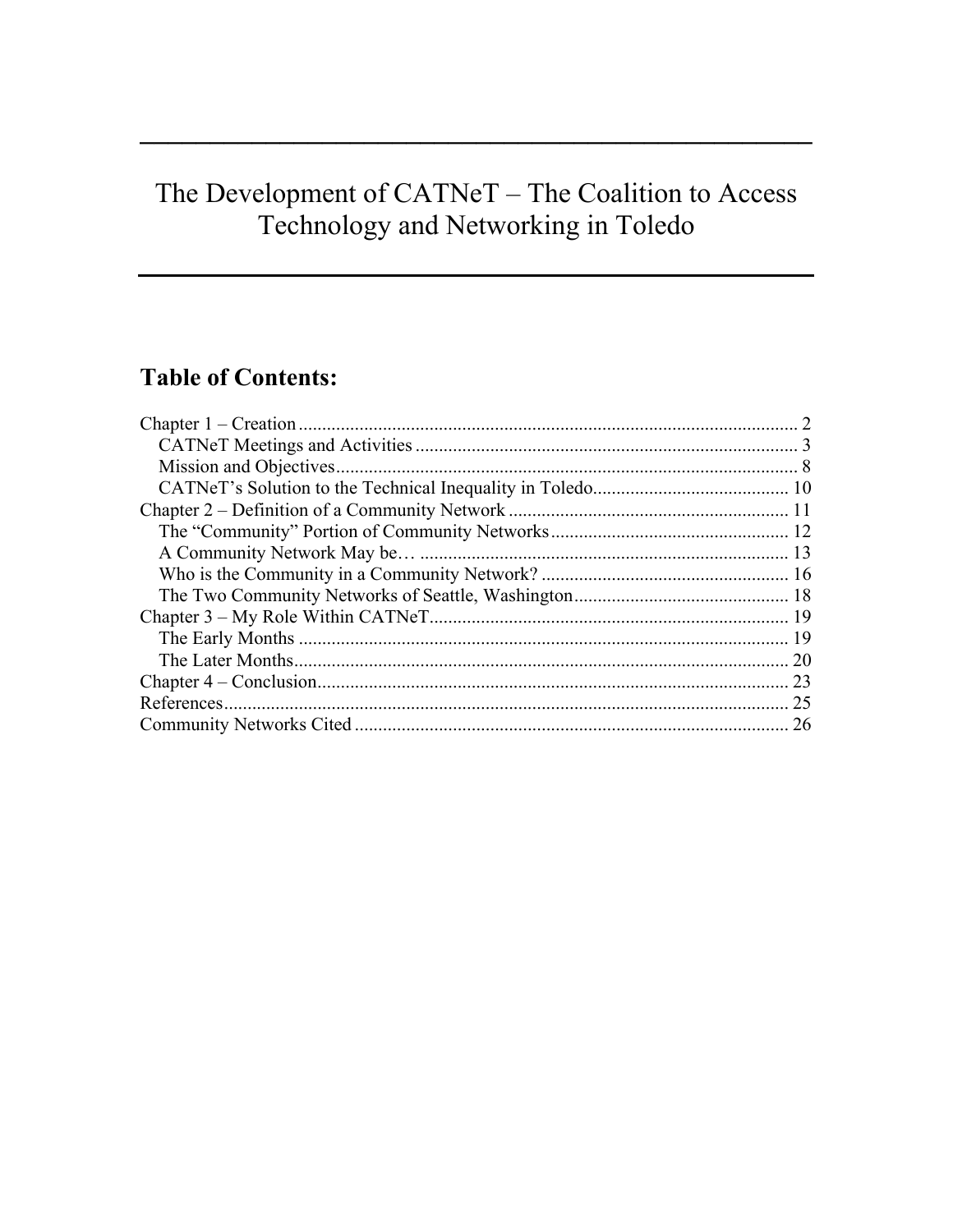# The Development of CATNeT - The Coalition to Access Technology and Networking in Toledo

# **Table of Contents:**

| 23 |
|----|
| 25 |
| 26 |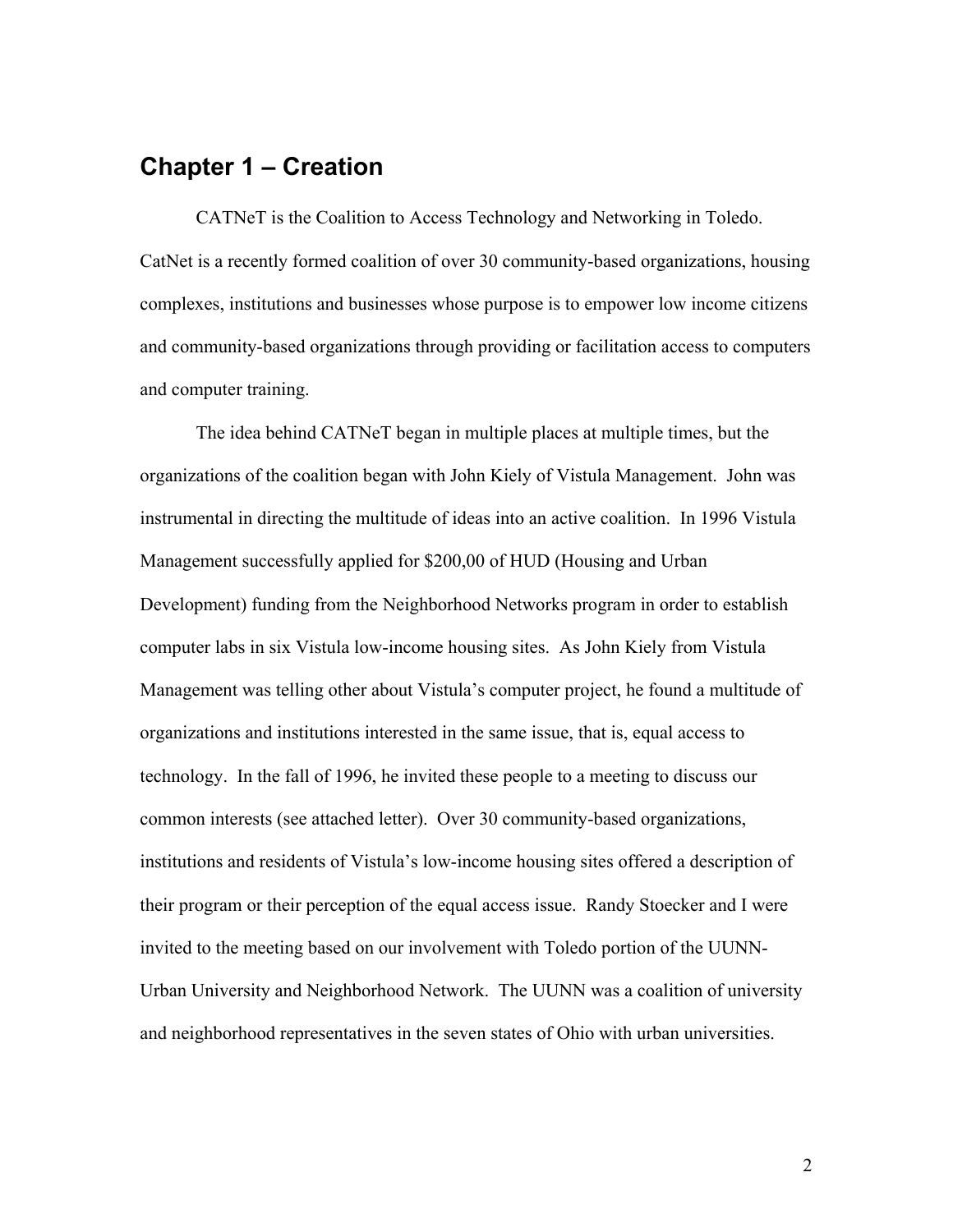## **Chapter 1 – Creation**

 CATNeT is the Coalition to Access Technology and Networking in Toledo. CatNet is a recently formed coalition of over 30 community-based organizations, housing complexes, institutions and businesses whose purpose is to empower low income citizens and community-based organizations through providing or facilitation access to computers and computer training.

 The idea behind CATNeT began in multiple places at multiple times, but the organizations of the coalition began with John Kiely of Vistula Management. John was instrumental in directing the multitude of ideas into an active coalition. In 1996 Vistula Management successfully applied for \$200,00 of HUD (Housing and Urban Development) funding from the Neighborhood Networks program in order to establish computer labs in six Vistula low-income housing sites. As John Kiely from Vistula Management was telling other about Vistula's computer project, he found a multitude of organizations and institutions interested in the same issue, that is, equal access to technology. In the fall of 1996, he invited these people to a meeting to discuss our common interests (see attached letter). Over 30 community-based organizations, institutions and residents of Vistula's low-income housing sites offered a description of their program or their perception of the equal access issue. Randy Stoecker and I were invited to the meeting based on our involvement with Toledo portion of the UUNN-Urban University and Neighborhood Network. The UUNN was a coalition of university and neighborhood representatives in the seven states of Ohio with urban universities.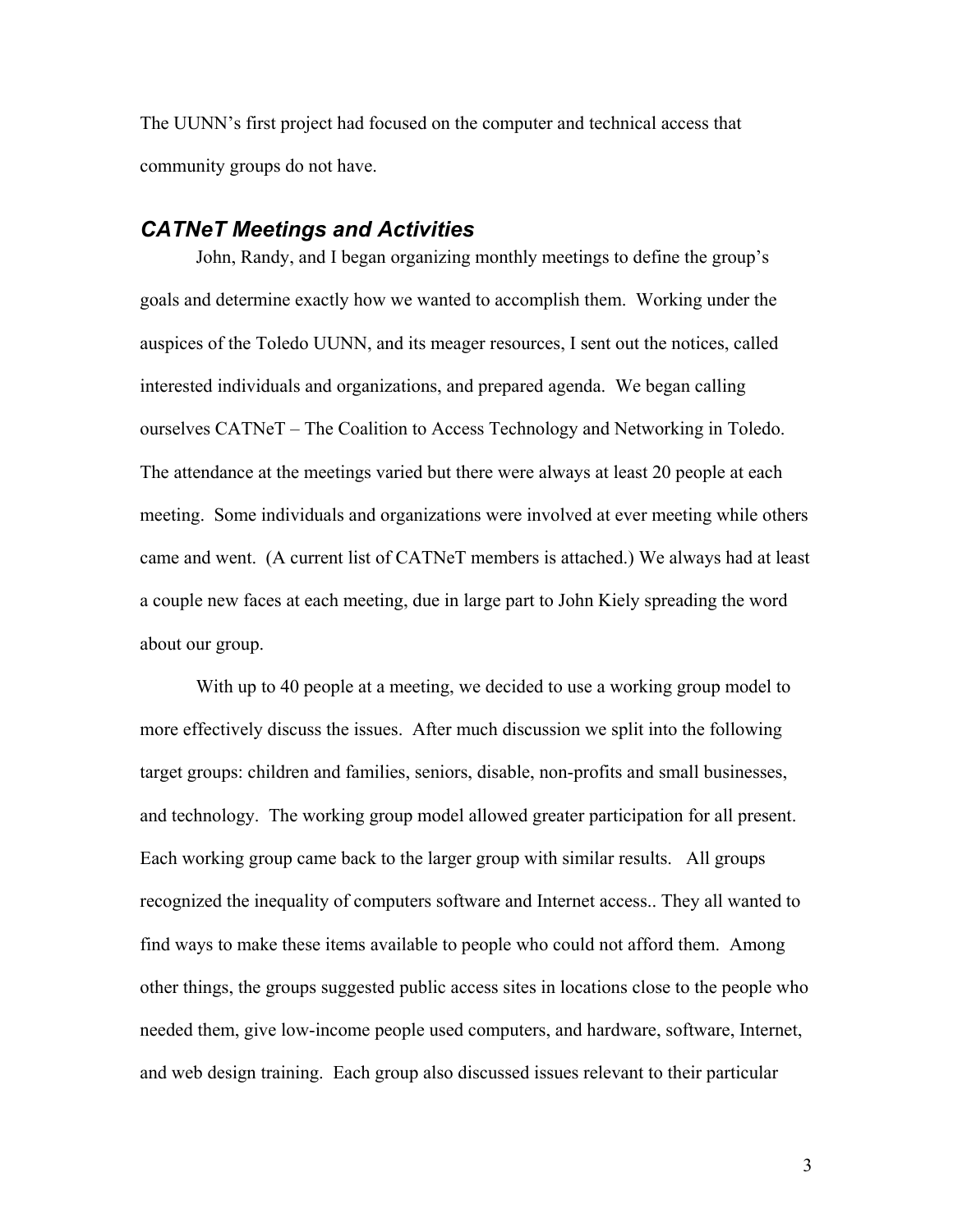The UUNN's first project had focused on the computer and technical access that community groups do not have.

#### *CATNeT Meetings and Activities*

John, Randy, and I began organizing monthly meetings to define the group's goals and determine exactly how we wanted to accomplish them. Working under the auspices of the Toledo UUNN, and its meager resources, I sent out the notices, called interested individuals and organizations, and prepared agenda. We began calling ourselves CATNeT – The Coalition to Access Technology and Networking in Toledo. The attendance at the meetings varied but there were always at least 20 people at each meeting. Some individuals and organizations were involved at ever meeting while others came and went. (A current list of CATNeT members is attached.) We always had at least a couple new faces at each meeting, due in large part to John Kiely spreading the word about our group.

 With up to 40 people at a meeting, we decided to use a working group model to more effectively discuss the issues. After much discussion we split into the following target groups: children and families, seniors, disable, non-profits and small businesses, and technology. The working group model allowed greater participation for all present. Each working group came back to the larger group with similar results. All groups recognized the inequality of computers software and Internet access.. They all wanted to find ways to make these items available to people who could not afford them. Among other things, the groups suggested public access sites in locations close to the people who needed them, give low-income people used computers, and hardware, software, Internet, and web design training. Each group also discussed issues relevant to their particular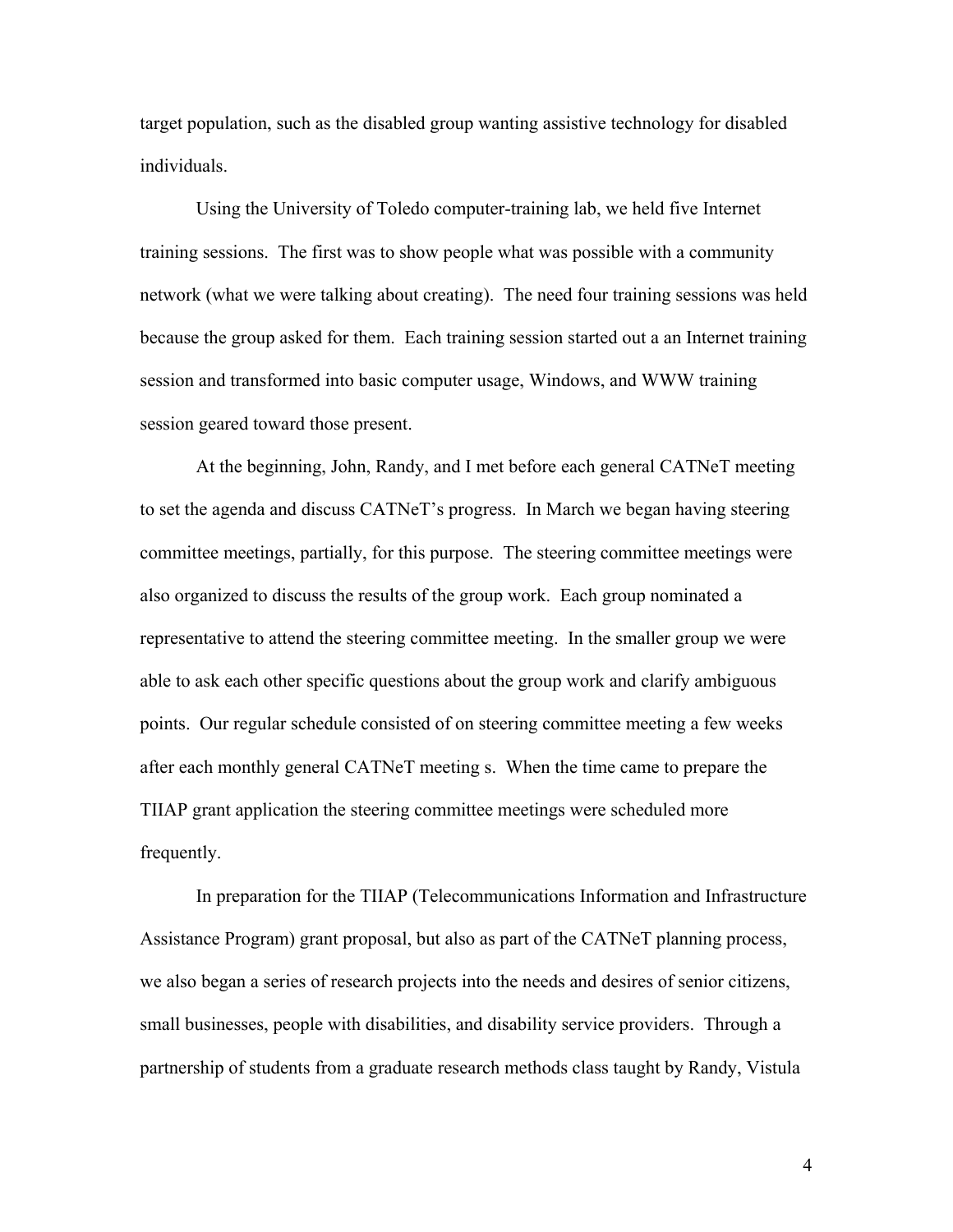target population, such as the disabled group wanting assistive technology for disabled individuals.

 Using the University of Toledo computer-training lab, we held five Internet training sessions. The first was to show people what was possible with a community network (what we were talking about creating). The need four training sessions was held because the group asked for them. Each training session started out a an Internet training session and transformed into basic computer usage, Windows, and WWW training session geared toward those present.

 At the beginning, John, Randy, and I met before each general CATNeT meeting to set the agenda and discuss CATNeT's progress. In March we began having steering committee meetings, partially, for this purpose. The steering committee meetings were also organized to discuss the results of the group work. Each group nominated a representative to attend the steering committee meeting. In the smaller group we were able to ask each other specific questions about the group work and clarify ambiguous points. Our regular schedule consisted of on steering committee meeting a few weeks after each monthly general CATNeT meeting s. When the time came to prepare the TIIAP grant application the steering committee meetings were scheduled more frequently.

 In preparation for the TIIAP (Telecommunications Information and Infrastructure Assistance Program) grant proposal, but also as part of the CATNeT planning process, we also began a series of research projects into the needs and desires of senior citizens, small businesses, people with disabilities, and disability service providers. Through a partnership of students from a graduate research methods class taught by Randy, Vistula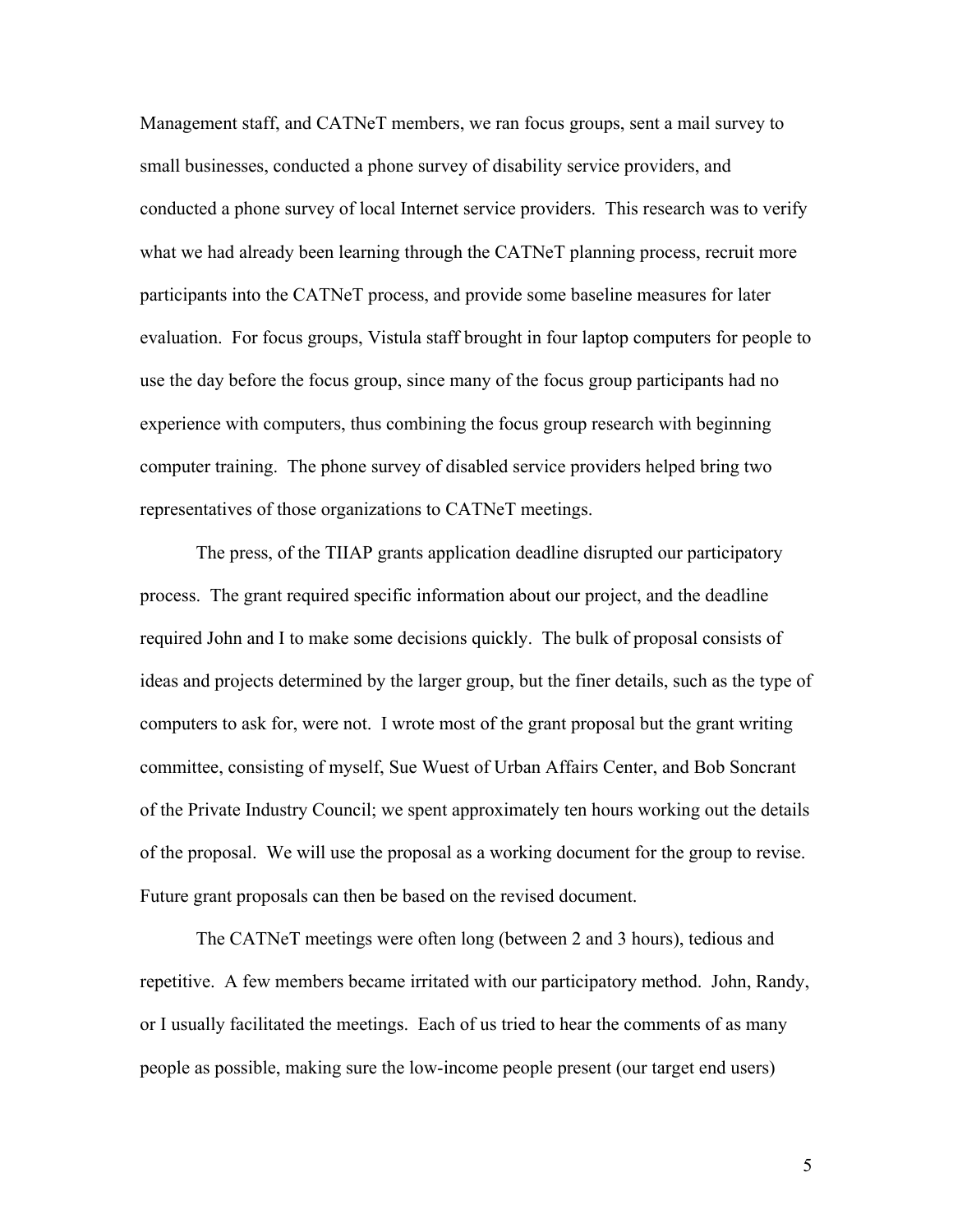Management staff, and CATNeT members, we ran focus groups, sent a mail survey to small businesses, conducted a phone survey of disability service providers, and conducted a phone survey of local Internet service providers. This research was to verify what we had already been learning through the CATNeT planning process, recruit more participants into the CATNeT process, and provide some baseline measures for later evaluation. For focus groups, Vistula staff brought in four laptop computers for people to use the day before the focus group, since many of the focus group participants had no experience with computers, thus combining the focus group research with beginning computer training. The phone survey of disabled service providers helped bring two representatives of those organizations to CATNeT meetings.

 The press, of the TIIAP grants application deadline disrupted our participatory process. The grant required specific information about our project, and the deadline required John and I to make some decisions quickly. The bulk of proposal consists of ideas and projects determined by the larger group, but the finer details, such as the type of computers to ask for, were not. I wrote most of the grant proposal but the grant writing committee, consisting of myself, Sue Wuest of Urban Affairs Center, and Bob Soncrant of the Private Industry Council; we spent approximately ten hours working out the details of the proposal. We will use the proposal as a working document for the group to revise. Future grant proposals can then be based on the revised document.

 The CATNeT meetings were often long (between 2 and 3 hours), tedious and repetitive. A few members became irritated with our participatory method. John, Randy, or I usually facilitated the meetings. Each of us tried to hear the comments of as many people as possible, making sure the low-income people present (our target end users)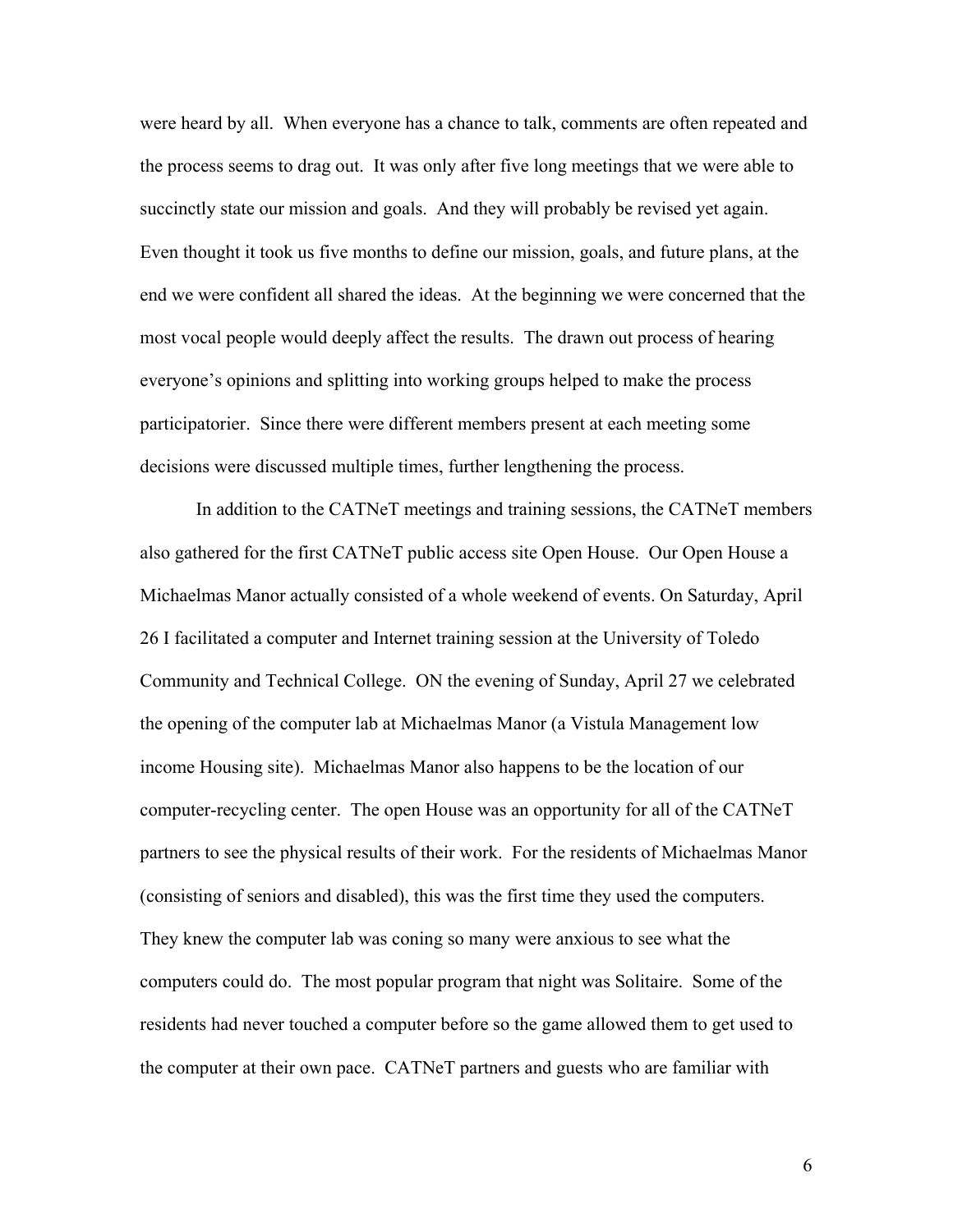were heard by all. When everyone has a chance to talk, comments are often repeated and the process seems to drag out. It was only after five long meetings that we were able to succinctly state our mission and goals. And they will probably be revised yet again. Even thought it took us five months to define our mission, goals, and future plans, at the end we were confident all shared the ideas. At the beginning we were concerned that the most vocal people would deeply affect the results. The drawn out process of hearing everyone's opinions and splitting into working groups helped to make the process participatorier. Since there were different members present at each meeting some decisions were discussed multiple times, further lengthening the process.

 In addition to the CATNeT meetings and training sessions, the CATNeT members also gathered for the first CATNeT public access site Open House. Our Open House a Michaelmas Manor actually consisted of a whole weekend of events. On Saturday, April 26 I facilitated a computer and Internet training session at the University of Toledo Community and Technical College. ON the evening of Sunday, April 27 we celebrated the opening of the computer lab at Michaelmas Manor (a Vistula Management low income Housing site). Michaelmas Manor also happens to be the location of our computer-recycling center. The open House was an opportunity for all of the CATNeT partners to see the physical results of their work. For the residents of Michaelmas Manor (consisting of seniors and disabled), this was the first time they used the computers. They knew the computer lab was coning so many were anxious to see what the computers could do. The most popular program that night was Solitaire. Some of the residents had never touched a computer before so the game allowed them to get used to the computer at their own pace. CATNeT partners and guests who are familiar with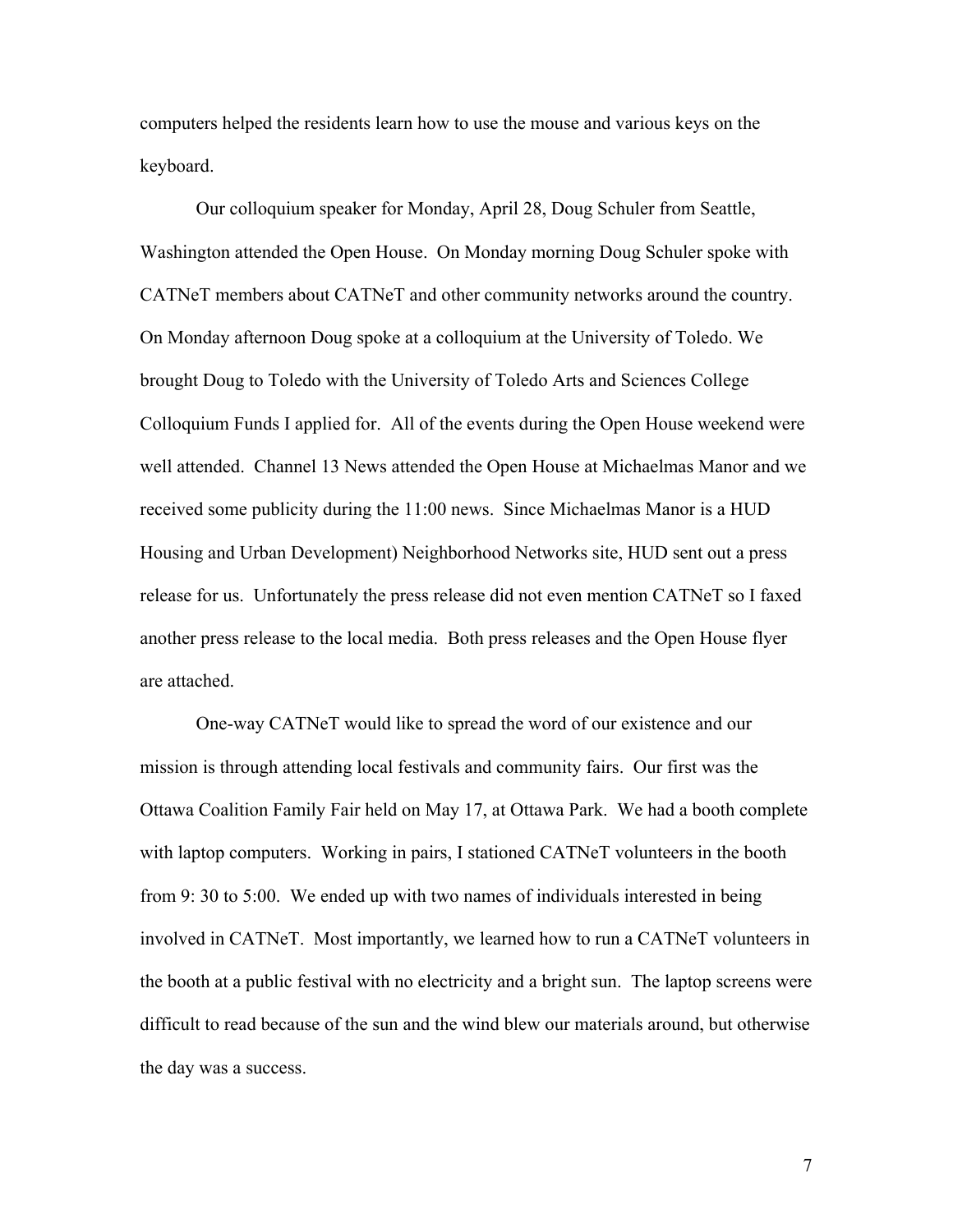computers helped the residents learn how to use the mouse and various keys on the keyboard.

 Our colloquium speaker for Monday, April 28, Doug Schuler from Seattle, Washington attended the Open House. On Monday morning Doug Schuler spoke with CATNeT members about CATNeT and other community networks around the country. On Monday afternoon Doug spoke at a colloquium at the University of Toledo. We brought Doug to Toledo with the University of Toledo Arts and Sciences College Colloquium Funds I applied for. All of the events during the Open House weekend were well attended. Channel 13 News attended the Open House at Michaelmas Manor and we received some publicity during the 11:00 news. Since Michaelmas Manor is a HUD Housing and Urban Development) Neighborhood Networks site, HUD sent out a press release for us. Unfortunately the press release did not even mention CATNeT so I faxed another press release to the local media. Both press releases and the Open House flyer are attached.

 One-way CATNeT would like to spread the word of our existence and our mission is through attending local festivals and community fairs. Our first was the Ottawa Coalition Family Fair held on May 17, at Ottawa Park. We had a booth complete with laptop computers. Working in pairs, I stationed CATNeT volunteers in the booth from 9: 30 to 5:00. We ended up with two names of individuals interested in being involved in CATNeT. Most importantly, we learned how to run a CATNeT volunteers in the booth at a public festival with no electricity and a bright sun. The laptop screens were difficult to read because of the sun and the wind blew our materials around, but otherwise the day was a success.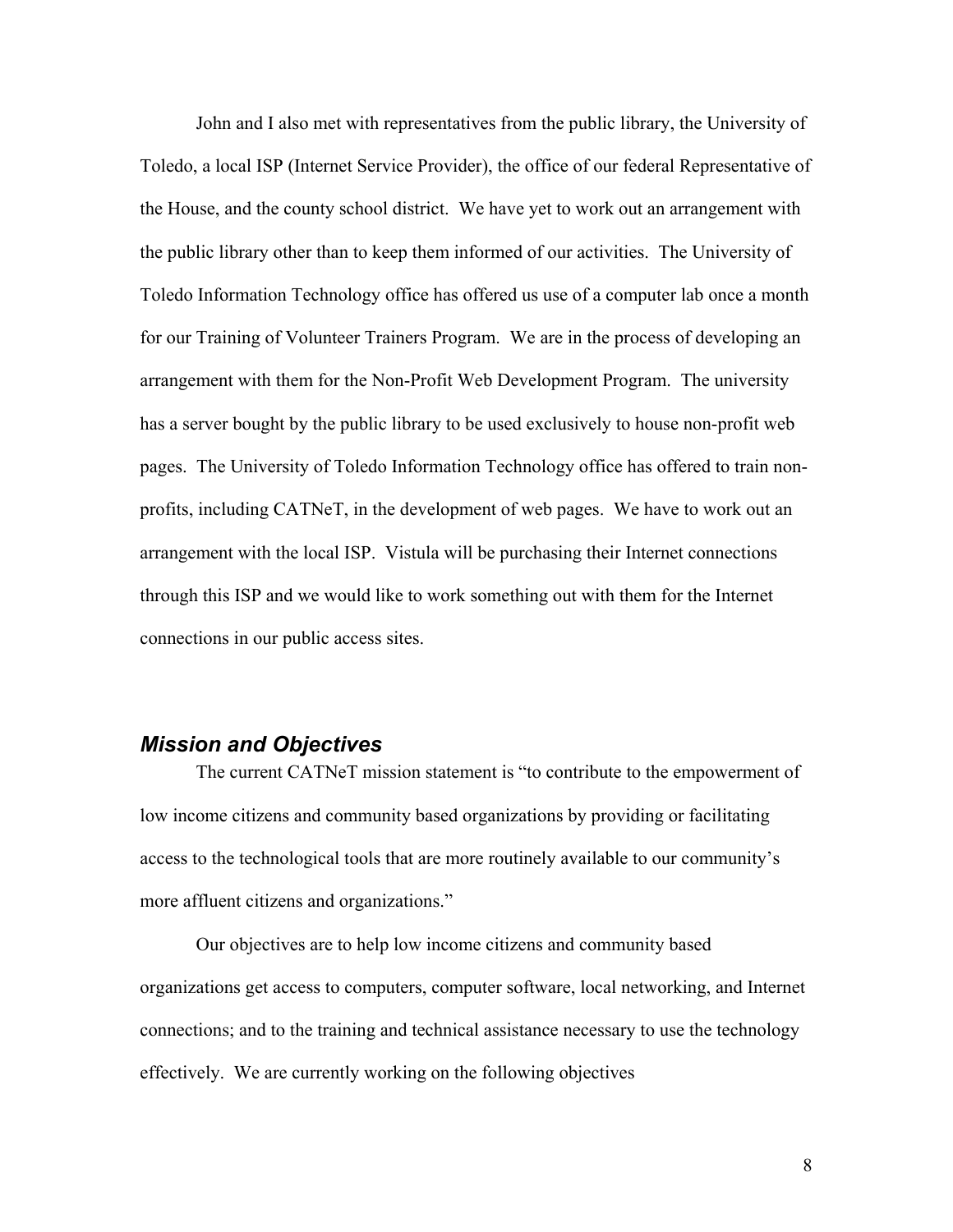John and I also met with representatives from the public library, the University of Toledo, a local ISP (Internet Service Provider), the office of our federal Representative of the House, and the county school district. We have yet to work out an arrangement with the public library other than to keep them informed of our activities. The University of Toledo Information Technology office has offered us use of a computer lab once a month for our Training of Volunteer Trainers Program. We are in the process of developing an arrangement with them for the Non-Profit Web Development Program. The university has a server bought by the public library to be used exclusively to house non-profit web pages. The University of Toledo Information Technology office has offered to train nonprofits, including CATNeT, in the development of web pages. We have to work out an arrangement with the local ISP. Vistula will be purchasing their Internet connections through this ISP and we would like to work something out with them for the Internet connections in our public access sites.

#### *Mission and Objectives*

 The current CATNeT mission statement is "to contribute to the empowerment of low income citizens and community based organizations by providing or facilitating access to the technological tools that are more routinely available to our community's more affluent citizens and organizations."

 Our objectives are to help low income citizens and community based organizations get access to computers, computer software, local networking, and Internet connections; and to the training and technical assistance necessary to use the technology effectively. We are currently working on the following objectives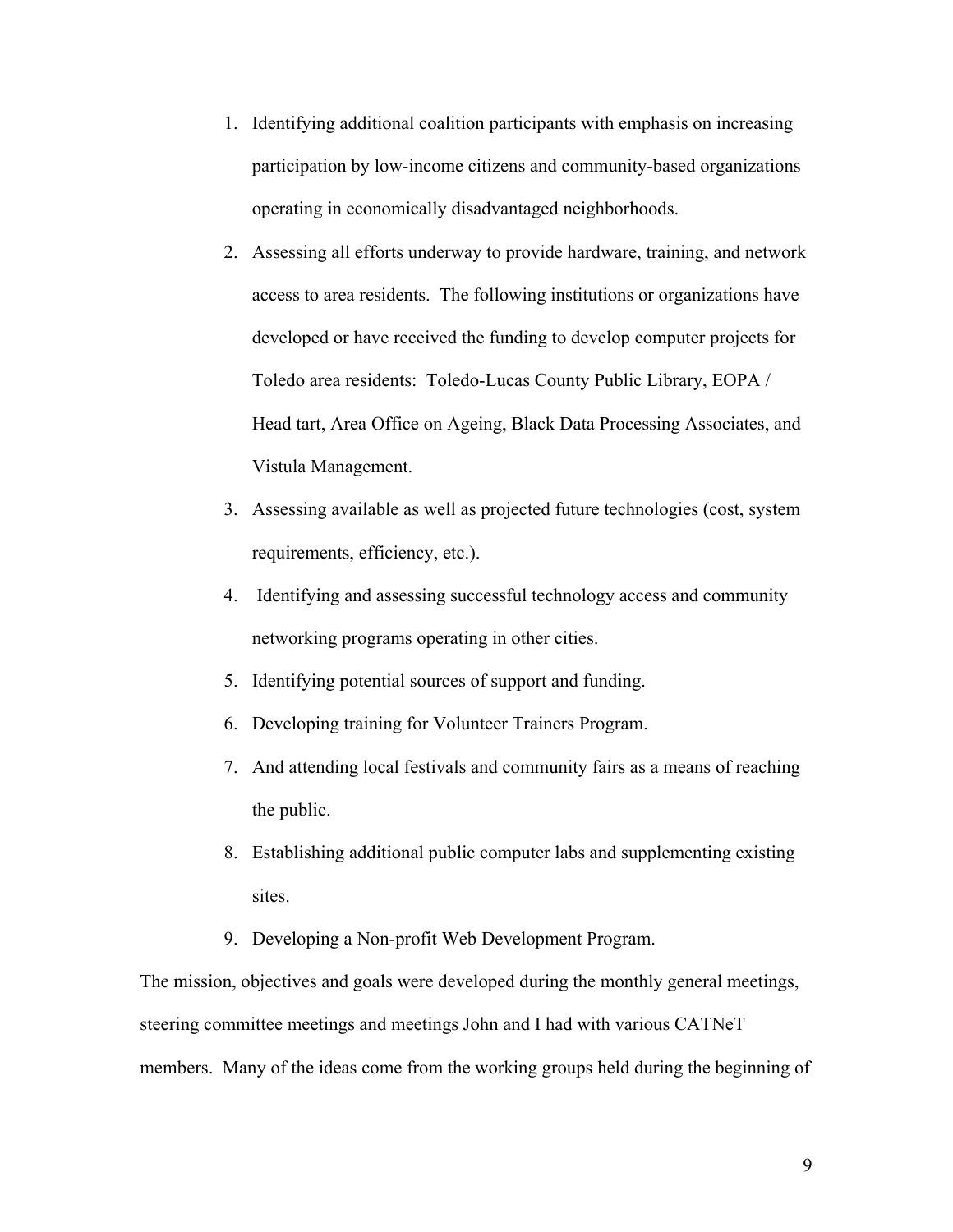- 1. Identifying additional coalition participants with emphasis on increasing participation by low-income citizens and community-based organizations operating in economically disadvantaged neighborhoods.
- 2. Assessing all efforts underway to provide hardware, training, and network access to area residents. The following institutions or organizations have developed or have received the funding to develop computer projects for Toledo area residents: Toledo-Lucas County Public Library, EOPA / Head tart, Area Office on Ageing, Black Data Processing Associates, and Vistula Management.
- 3. Assessing available as well as projected future technologies (cost, system requirements, efficiency, etc.).
- 4. Identifying and assessing successful technology access and community networking programs operating in other cities.
- 5. Identifying potential sources of support and funding.
- 6. Developing training for Volunteer Trainers Program.
- 7. And attending local festivals and community fairs as a means of reaching the public.
- 8. Establishing additional public computer labs and supplementing existing sites.
- 9. Developing a Non-profit Web Development Program.

The mission, objectives and goals were developed during the monthly general meetings, steering committee meetings and meetings John and I had with various CATNeT members. Many of the ideas come from the working groups held during the beginning of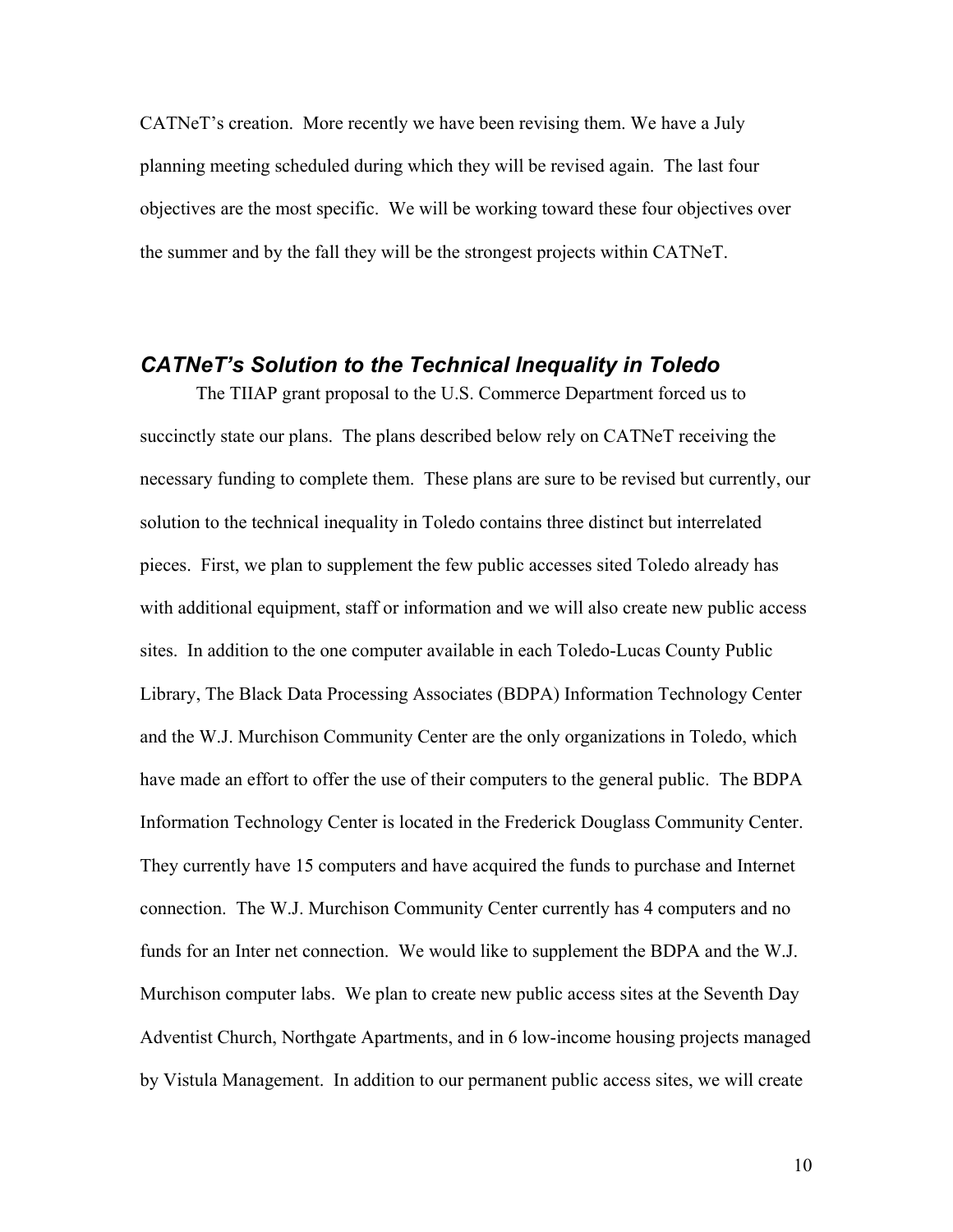CATNeT's creation. More recently we have been revising them. We have a July planning meeting scheduled during which they will be revised again. The last four objectives are the most specific. We will be working toward these four objectives over the summer and by the fall they will be the strongest projects within CATNeT.

### *CATNeT's Solution to the Technical Inequality in Toledo*

 The TIIAP grant proposal to the U.S. Commerce Department forced us to succinctly state our plans. The plans described below rely on CATNeT receiving the necessary funding to complete them. These plans are sure to be revised but currently, our solution to the technical inequality in Toledo contains three distinct but interrelated pieces. First, we plan to supplement the few public accesses sited Toledo already has with additional equipment, staff or information and we will also create new public access sites. In addition to the one computer available in each Toledo-Lucas County Public Library, The Black Data Processing Associates (BDPA) Information Technology Center and the W.J. Murchison Community Center are the only organizations in Toledo, which have made an effort to offer the use of their computers to the general public. The BDPA Information Technology Center is located in the Frederick Douglass Community Center. They currently have 15 computers and have acquired the funds to purchase and Internet connection. The W.J. Murchison Community Center currently has 4 computers and no funds for an Inter net connection. We would like to supplement the BDPA and the W.J. Murchison computer labs. We plan to create new public access sites at the Seventh Day Adventist Church, Northgate Apartments, and in 6 low-income housing projects managed by Vistula Management. In addition to our permanent public access sites, we will create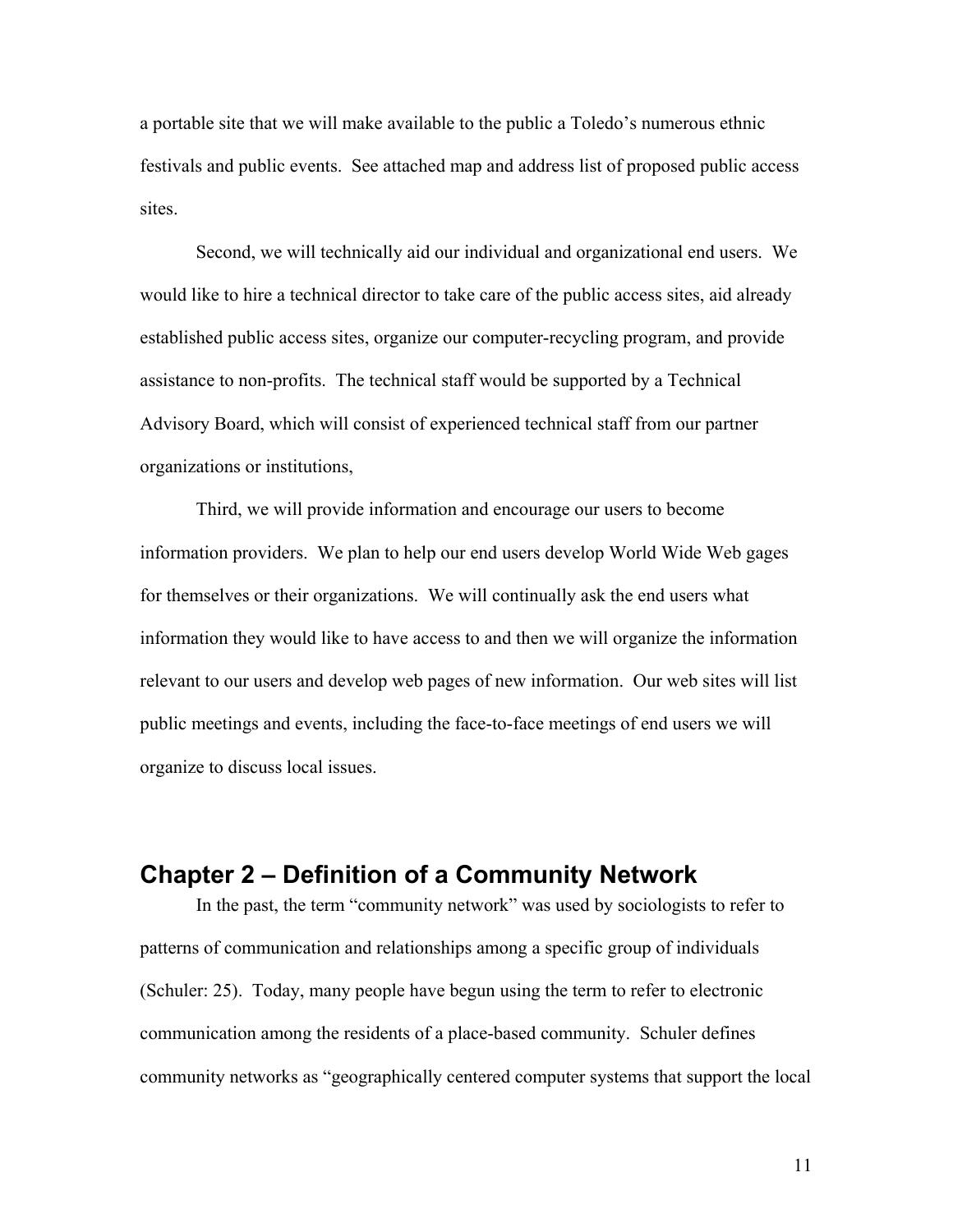a portable site that we will make available to the public a Toledo's numerous ethnic festivals and public events. See attached map and address list of proposed public access sites.

 Second, we will technically aid our individual and organizational end users. We would like to hire a technical director to take care of the public access sites, aid already established public access sites, organize our computer-recycling program, and provide assistance to non-profits. The technical staff would be supported by a Technical Advisory Board, which will consist of experienced technical staff from our partner organizations or institutions,

 Third, we will provide information and encourage our users to become information providers. We plan to help our end users develop World Wide Web gages for themselves or their organizations. We will continually ask the end users what information they would like to have access to and then we will organize the information relevant to our users and develop web pages of new information. Our web sites will list public meetings and events, including the face-to-face meetings of end users we will organize to discuss local issues.

# **Chapter 2 – Definition of a Community Network**

In the past, the term "community network" was used by sociologists to refer to patterns of communication and relationships among a specific group of individuals (Schuler: 25). Today, many people have begun using the term to refer to electronic communication among the residents of a place-based community. Schuler defines community networks as "geographically centered computer systems that support the local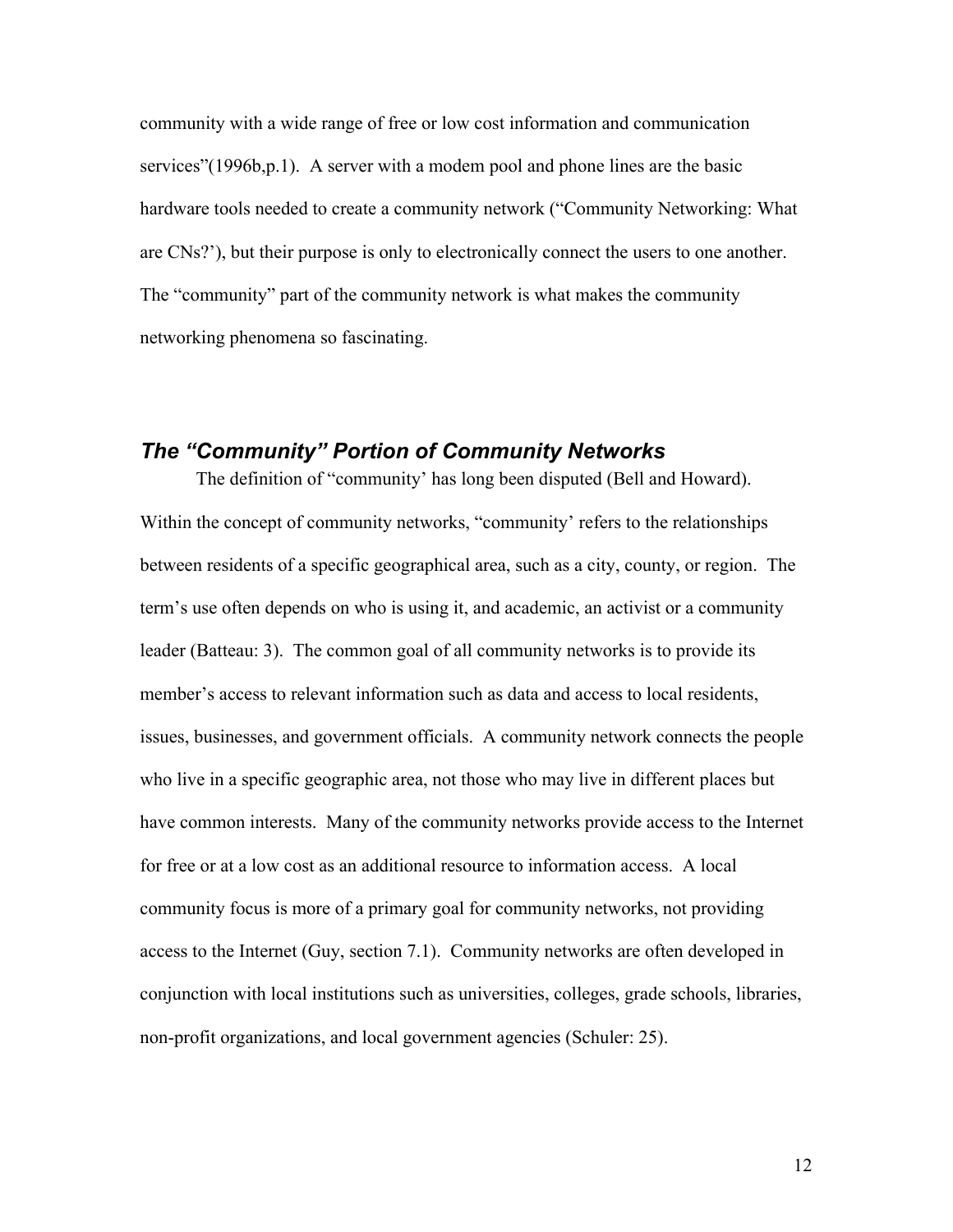community with a wide range of free or low cost information and communication services"(1996b,p.1). A server with a modem pool and phone lines are the basic hardware tools needed to create a community network ("Community Networking: What are CNs?'), but their purpose is only to electronically connect the users to one another. The "community" part of the community network is what makes the community networking phenomena so fascinating.

#### *The "Community" Portion of Community Networks*

 The definition of "community' has long been disputed (Bell and Howard). Within the concept of community networks, "community' refers to the relationships between residents of a specific geographical area, such as a city, county, or region. The term's use often depends on who is using it, and academic, an activist or a community leader (Batteau: 3). The common goal of all community networks is to provide its member's access to relevant information such as data and access to local residents, issues, businesses, and government officials. A community network connects the people who live in a specific geographic area, not those who may live in different places but have common interests. Many of the community networks provide access to the Internet for free or at a low cost as an additional resource to information access. A local community focus is more of a primary goal for community networks, not providing access to the Internet (Guy, section 7.1). Community networks are often developed in conjunction with local institutions such as universities, colleges, grade schools, libraries, non-profit organizations, and local government agencies (Schuler: 25).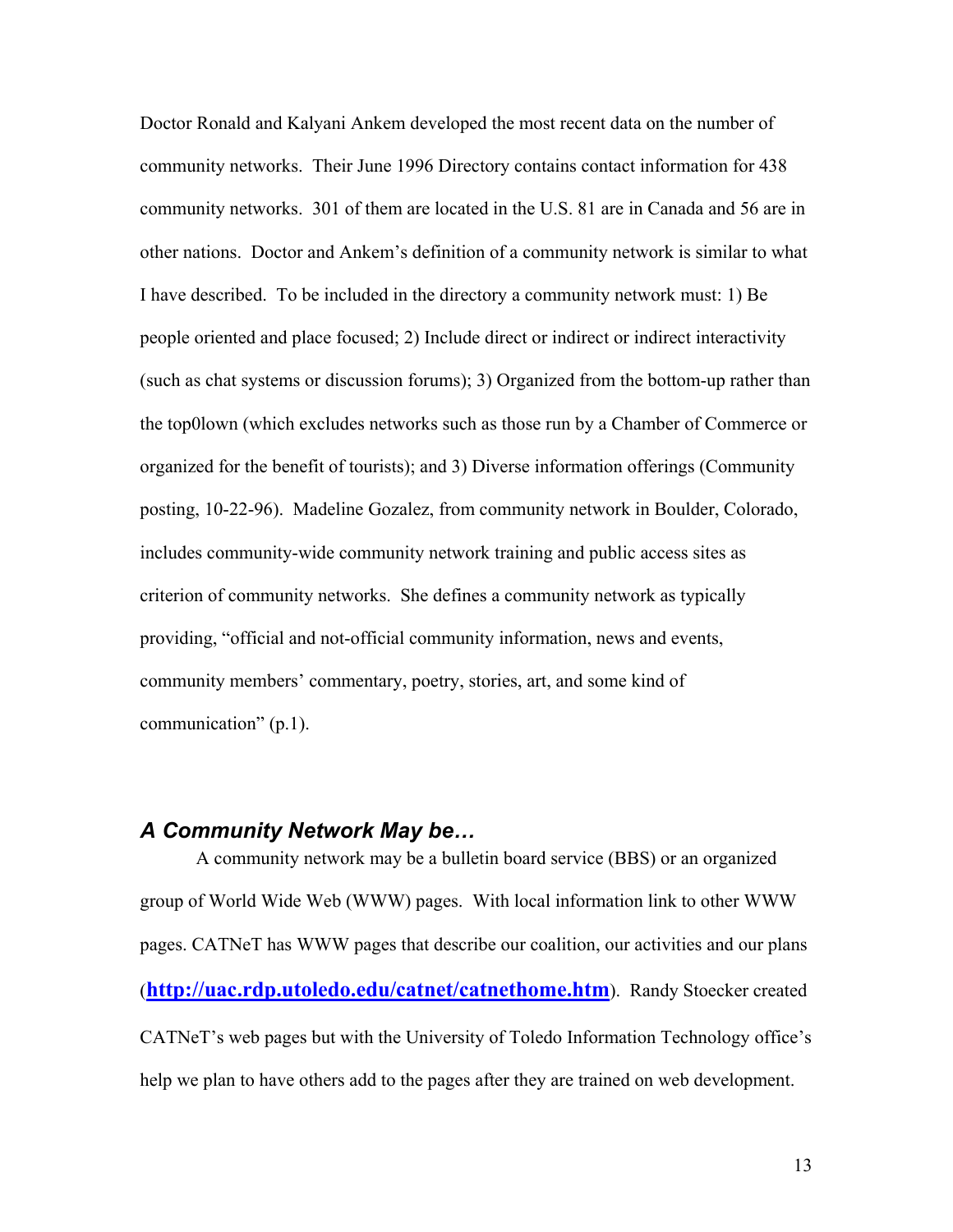Doctor Ronald and Kalyani Ankem developed the most recent data on the number of community networks. Their June 1996 Directory contains contact information for 438 community networks. 301 of them are located in the U.S. 81 are in Canada and 56 are in other nations. Doctor and Ankem's definition of a community network is similar to what I have described. To be included in the directory a community network must: 1) Be people oriented and place focused; 2) Include direct or indirect or indirect interactivity (such as chat systems or discussion forums); 3) Organized from the bottom-up rather than the top0lown (which excludes networks such as those run by a Chamber of Commerce or organized for the benefit of tourists); and 3) Diverse information offerings (Community posting, 10-22-96). Madeline Gozalez, from community network in Boulder, Colorado, includes community-wide community network training and public access sites as criterion of community networks. She defines a community network as typically providing, "official and not-official community information, news and events, community members' commentary, poetry, stories, art, and some kind of communication" (p.1).

#### *A Community Network May be…*

 A community network may be a bulletin board service (BBS) or an organized group of World Wide Web (WWW) pages. With local information link to other WWW pages. CATNeT has WWW pages that describe our coalition, our activities and our plans (**http://uac.rdp.utoledo.edu/catnet/catnethome.htm**). Randy Stoecker created CATNeT's web pages but with the University of Toledo Information Technology office's help we plan to have others add to the pages after they are trained on web development.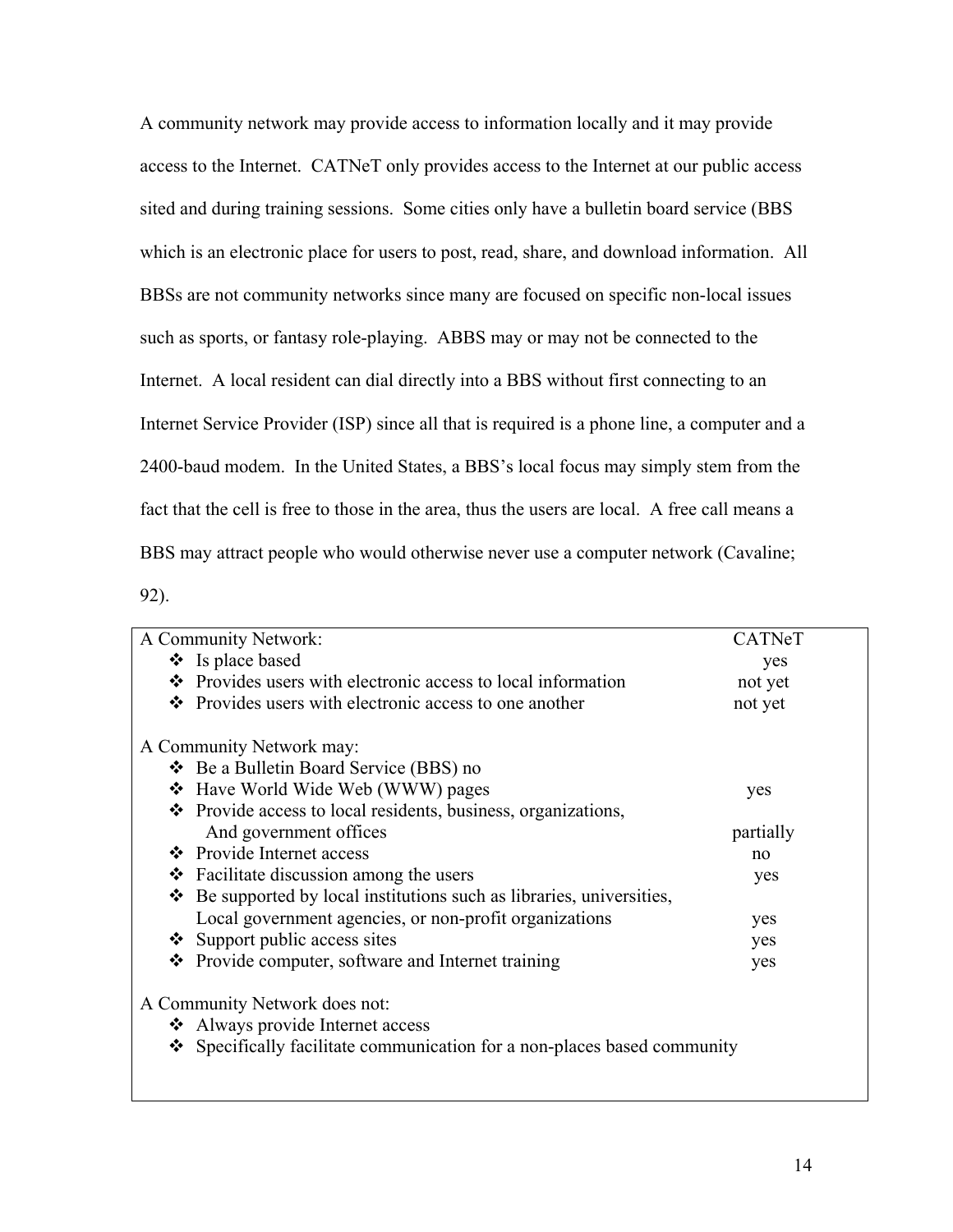A community network may provide access to information locally and it may provide access to the Internet. CATNeT only provides access to the Internet at our public access sited and during training sessions. Some cities only have a bulletin board service (BBS which is an electronic place for users to post, read, share, and download information. All BBSs are not community networks since many are focused on specific non-local issues such as sports, or fantasy role-playing. ABBS may or may not be connected to the Internet. A local resident can dial directly into a BBS without first connecting to an Internet Service Provider (ISP) since all that is required is a phone line, a computer and a 2400-baud modem. In the United States, a BBS's local focus may simply stem from the fact that the cell is free to those in the area, thus the users are local. A free call means a BBS may attract people who would otherwise never use a computer network (Cavaline;

92).

| A Community Network:                                                        | CATNeT    |  |
|-----------------------------------------------------------------------------|-----------|--|
| $\bullet$ Is place based                                                    | yes       |  |
| Provides users with electronic access to local information<br>$\mathbf{A}$  | not yet   |  |
| Provides users with electronic access to one another<br>❖                   | not yet   |  |
| A Community Network may:                                                    |           |  |
| ❖ Be a Bulletin Board Service (BBS) no                                      |           |  |
| ❖ Have World Wide Web (WWW) pages                                           | yes       |  |
| • Provide access to local residents, business, organizations,               |           |  |
| And government offices                                                      | partially |  |
| ❖ Provide Internet access                                                   | no        |  |
| Facilitate discussion among the users<br>❖                                  | yes       |  |
| Be supported by local institutions such as libraries, universities,<br>❖    |           |  |
| Local government agencies, or non-profit organizations                      | yes       |  |
| $\div$ Support public access sites                                          | yes       |  |
| Provide computer, software and Internet training<br>❖                       | yes       |  |
| A Community Network does not:                                               |           |  |
| Always provide Internet access                                              |           |  |
| Specifically facilitate communication for a non-places based community<br>❖ |           |  |
|                                                                             |           |  |
|                                                                             |           |  |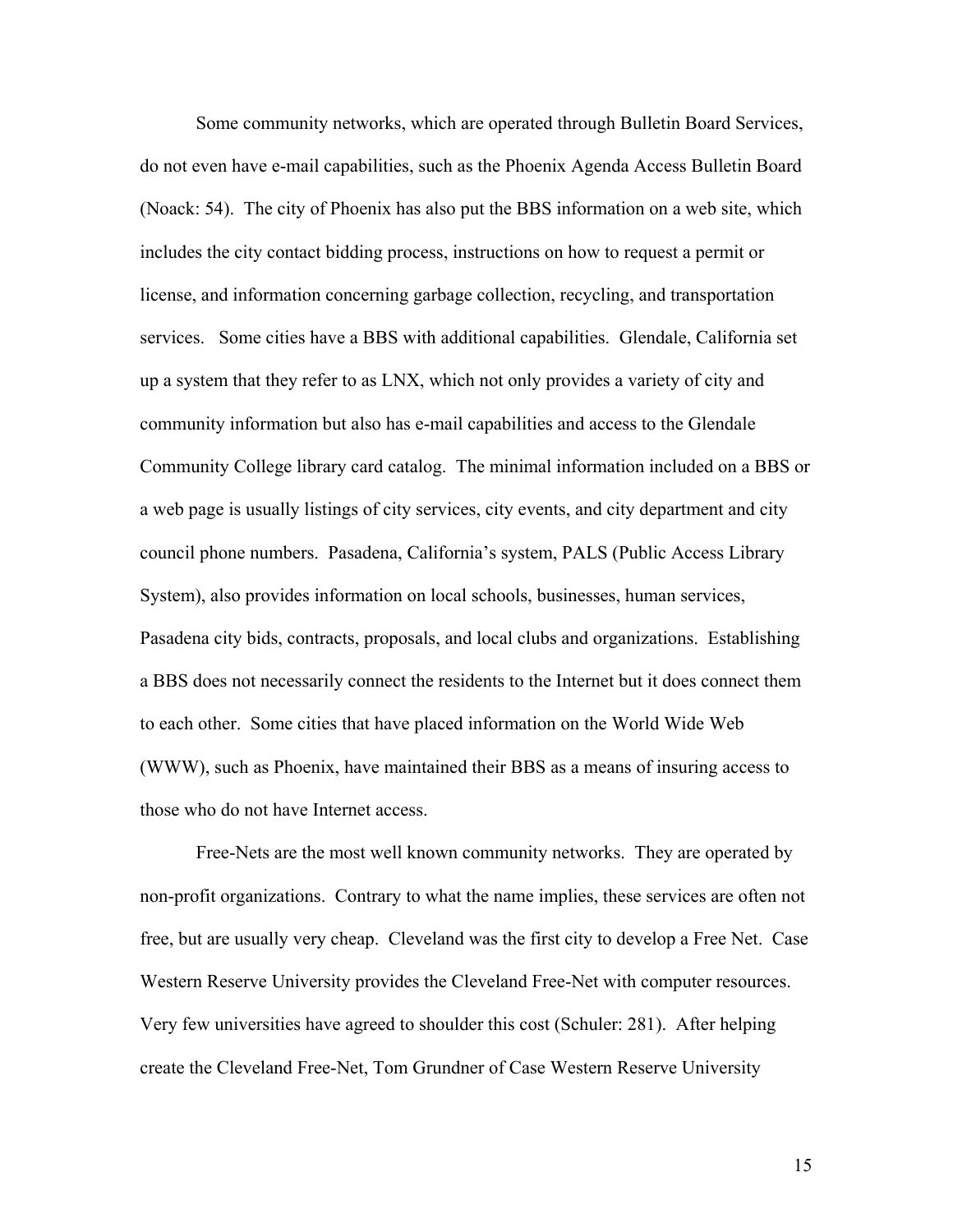Some community networks, which are operated through Bulletin Board Services, do not even have e-mail capabilities, such as the Phoenix Agenda Access Bulletin Board (Noack: 54). The city of Phoenix has also put the BBS information on a web site, which includes the city contact bidding process, instructions on how to request a permit or license, and information concerning garbage collection, recycling, and transportation services. Some cities have a BBS with additional capabilities. Glendale, California set up a system that they refer to as LNX, which not only provides a variety of city and community information but also has e-mail capabilities and access to the Glendale Community College library card catalog. The minimal information included on a BBS or a web page is usually listings of city services, city events, and city department and city council phone numbers. Pasadena, California's system, PALS (Public Access Library System), also provides information on local schools, businesses, human services, Pasadena city bids, contracts, proposals, and local clubs and organizations. Establishing a BBS does not necessarily connect the residents to the Internet but it does connect them to each other. Some cities that have placed information on the World Wide Web (WWW), such as Phoenix, have maintained their BBS as a means of insuring access to those who do not have Internet access.

 Free-Nets are the most well known community networks. They are operated by non-profit organizations. Contrary to what the name implies, these services are often not free, but are usually very cheap. Cleveland was the first city to develop a Free Net. Case Western Reserve University provides the Cleveland Free-Net with computer resources. Very few universities have agreed to shoulder this cost (Schuler: 281). After helping create the Cleveland Free-Net, Tom Grundner of Case Western Reserve University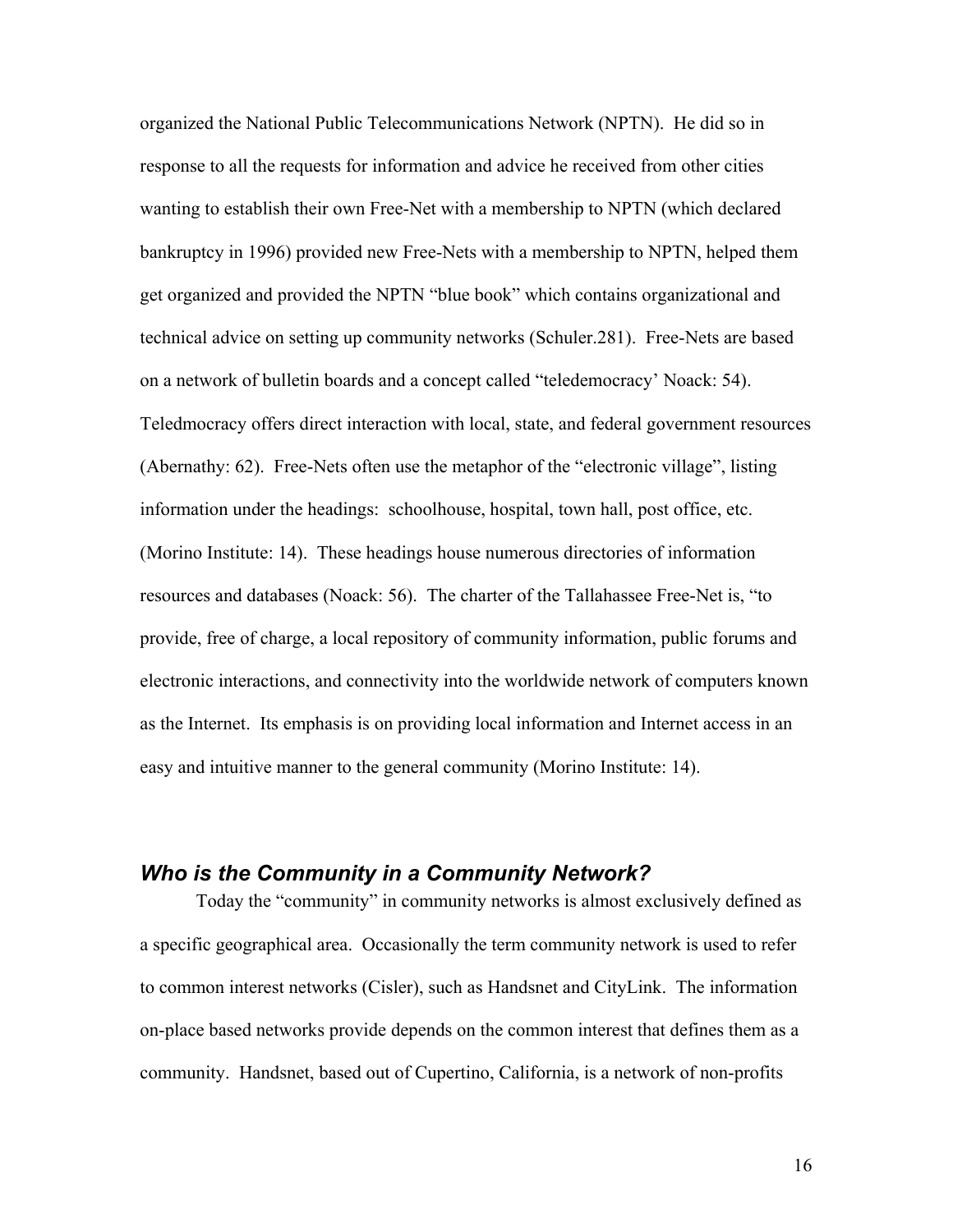organized the National Public Telecommunications Network (NPTN). He did so in response to all the requests for information and advice he received from other cities wanting to establish their own Free-Net with a membership to NPTN (which declared bankruptcy in 1996) provided new Free-Nets with a membership to NPTN, helped them get organized and provided the NPTN "blue book" which contains organizational and technical advice on setting up community networks (Schuler.281). Free-Nets are based on a network of bulletin boards and a concept called "teledemocracy' Noack: 54). Teledmocracy offers direct interaction with local, state, and federal government resources (Abernathy: 62). Free-Nets often use the metaphor of the "electronic village", listing information under the headings: schoolhouse, hospital, town hall, post office, etc. (Morino Institute: 14). These headings house numerous directories of information resources and databases (Noack: 56). The charter of the Tallahassee Free-Net is, "to provide, free of charge, a local repository of community information, public forums and electronic interactions, and connectivity into the worldwide network of computers known as the Internet. Its emphasis is on providing local information and Internet access in an easy and intuitive manner to the general community (Morino Institute: 14).

#### *Who is the Community in a Community Network?*

 Today the "community" in community networks is almost exclusively defined as a specific geographical area. Occasionally the term community network is used to refer to common interest networks (Cisler), such as Handsnet and CityLink. The information on-place based networks provide depends on the common interest that defines them as a community. Handsnet, based out of Cupertino, California, is a network of non-profits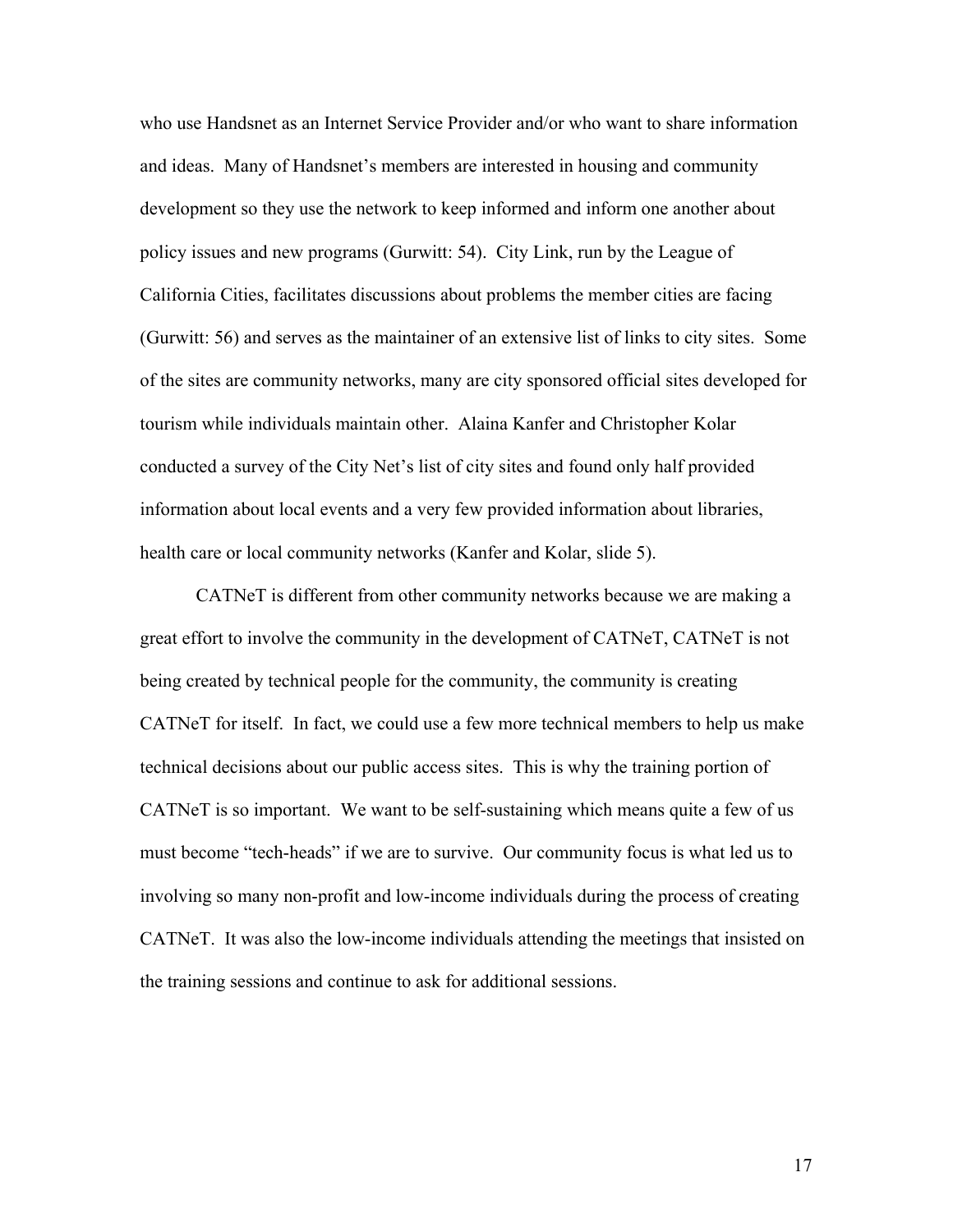who use Handsnet as an Internet Service Provider and/or who want to share information and ideas. Many of Handsnet's members are interested in housing and community development so they use the network to keep informed and inform one another about policy issues and new programs (Gurwitt: 54). City Link, run by the League of California Cities, facilitates discussions about problems the member cities are facing (Gurwitt: 56) and serves as the maintainer of an extensive list of links to city sites. Some of the sites are community networks, many are city sponsored official sites developed for tourism while individuals maintain other. Alaina Kanfer and Christopher Kolar conducted a survey of the City Net's list of city sites and found only half provided information about local events and a very few provided information about libraries, health care or local community networks (Kanfer and Kolar, slide 5).

 CATNeT is different from other community networks because we are making a great effort to involve the community in the development of CATNeT, CATNeT is not being created by technical people for the community, the community is creating CATNeT for itself. In fact, we could use a few more technical members to help us make technical decisions about our public access sites. This is why the training portion of CATNeT is so important. We want to be self-sustaining which means quite a few of us must become "tech-heads" if we are to survive. Our community focus is what led us to involving so many non-profit and low-income individuals during the process of creating CATNeT. It was also the low-income individuals attending the meetings that insisted on the training sessions and continue to ask for additional sessions.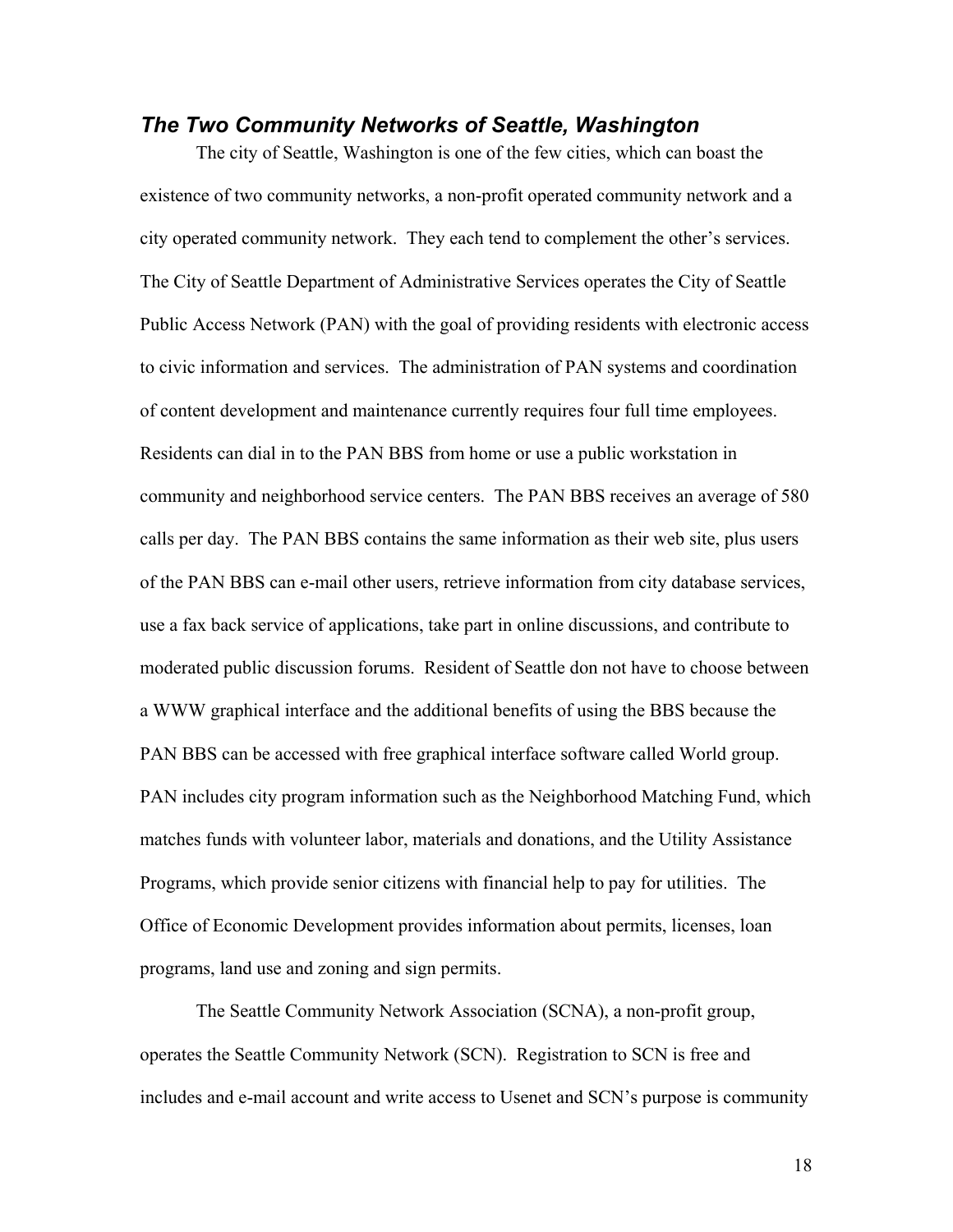#### *The Two Community Networks of Seattle, Washington*

 The city of Seattle, Washington is one of the few cities, which can boast the existence of two community networks, a non-profit operated community network and a city operated community network. They each tend to complement the other's services. The City of Seattle Department of Administrative Services operates the City of Seattle Public Access Network (PAN) with the goal of providing residents with electronic access to civic information and services. The administration of PAN systems and coordination of content development and maintenance currently requires four full time employees. Residents can dial in to the PAN BBS from home or use a public workstation in community and neighborhood service centers. The PAN BBS receives an average of 580 calls per day. The PAN BBS contains the same information as their web site, plus users of the PAN BBS can e-mail other users, retrieve information from city database services, use a fax back service of applications, take part in online discussions, and contribute to moderated public discussion forums. Resident of Seattle don not have to choose between a WWW graphical interface and the additional benefits of using the BBS because the PAN BBS can be accessed with free graphical interface software called World group. PAN includes city program information such as the Neighborhood Matching Fund, which matches funds with volunteer labor, materials and donations, and the Utility Assistance Programs, which provide senior citizens with financial help to pay for utilities. The Office of Economic Development provides information about permits, licenses, loan programs, land use and zoning and sign permits.

 The Seattle Community Network Association (SCNA), a non-profit group, operates the Seattle Community Network (SCN). Registration to SCN is free and includes and e-mail account and write access to Usenet and SCN's purpose is community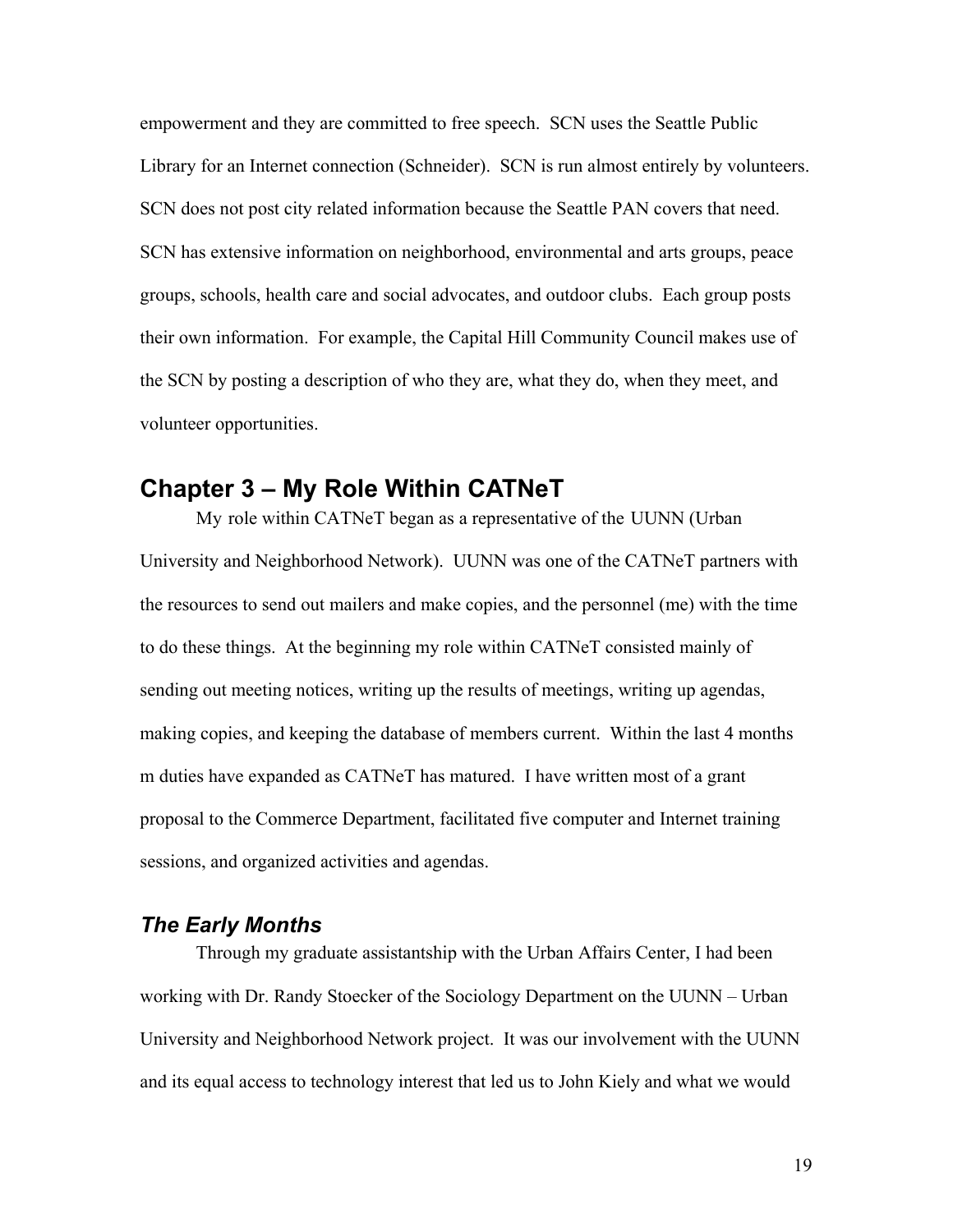empowerment and they are committed to free speech. SCN uses the Seattle Public Library for an Internet connection (Schneider). SCN is run almost entirely by volunteers. SCN does not post city related information because the Seattle PAN covers that need. SCN has extensive information on neighborhood, environmental and arts groups, peace groups, schools, health care and social advocates, and outdoor clubs. Each group posts their own information. For example, the Capital Hill Community Council makes use of the SCN by posting a description of who they are, what they do, when they meet, and volunteer opportunities.

### **Chapter 3 – My Role Within CATNeT**

 My role within CATNeT began as a representative of the UUNN (Urban University and Neighborhood Network). UUNN was one of the CATNeT partners with the resources to send out mailers and make copies, and the personnel (me) with the time to do these things. At the beginning my role within CATNeT consisted mainly of sending out meeting notices, writing up the results of meetings, writing up agendas, making copies, and keeping the database of members current. Within the last 4 months m duties have expanded as CATNeT has matured. I have written most of a grant proposal to the Commerce Department, facilitated five computer and Internet training sessions, and organized activities and agendas.

#### *The Early Months*

 Through my graduate assistantship with the Urban Affairs Center, I had been working with Dr. Randy Stoecker of the Sociology Department on the UUNN – Urban University and Neighborhood Network project. It was our involvement with the UUNN and its equal access to technology interest that led us to John Kiely and what we would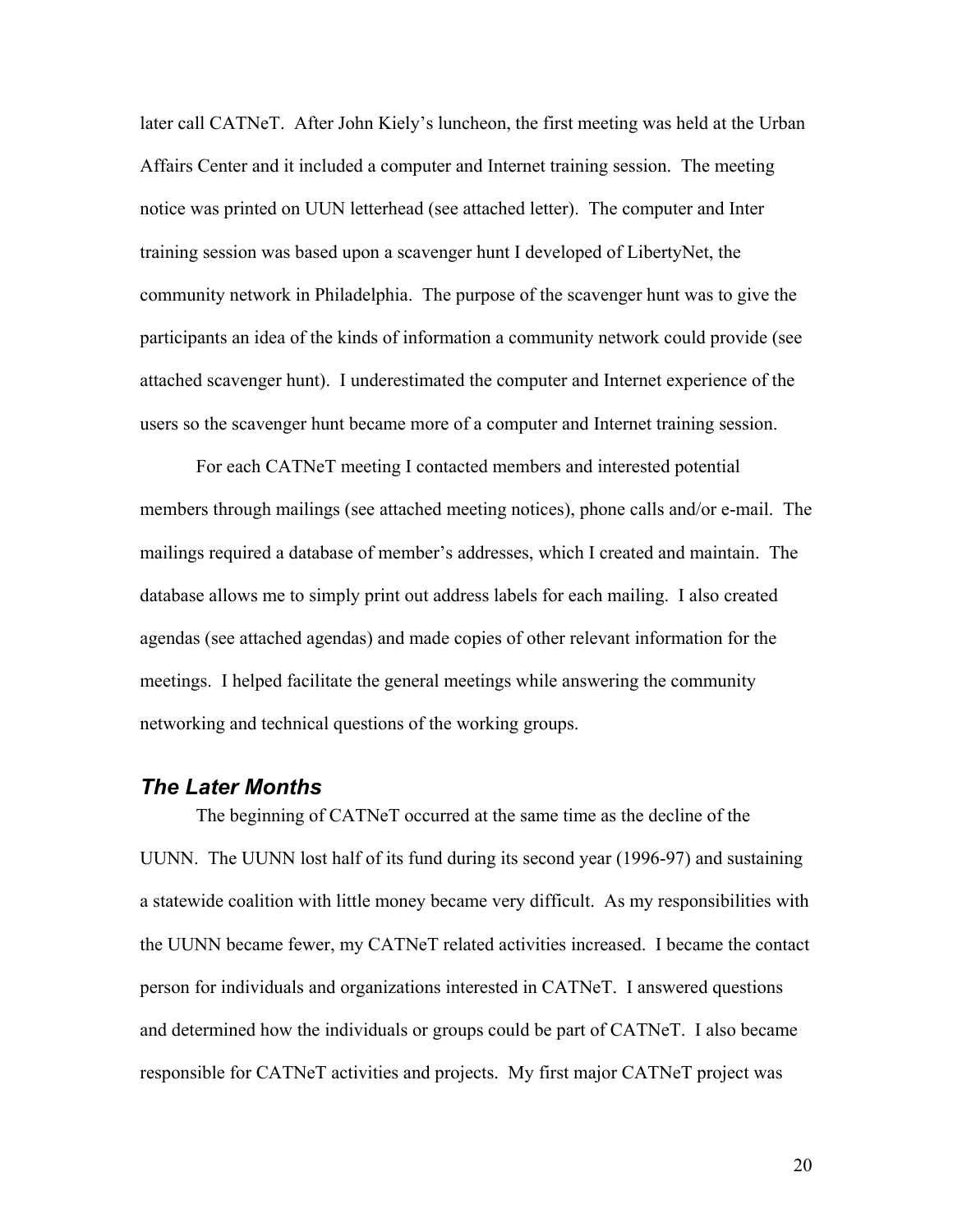later call CATNeT. After John Kiely's luncheon, the first meeting was held at the Urban Affairs Center and it included a computer and Internet training session. The meeting notice was printed on UUN letterhead (see attached letter). The computer and Inter training session was based upon a scavenger hunt I developed of LibertyNet, the community network in Philadelphia. The purpose of the scavenger hunt was to give the participants an idea of the kinds of information a community network could provide (see attached scavenger hunt). I underestimated the computer and Internet experience of the users so the scavenger hunt became more of a computer and Internet training session.

 For each CATNeT meeting I contacted members and interested potential members through mailings (see attached meeting notices), phone calls and/or e-mail. The mailings required a database of member's addresses, which I created and maintain. The database allows me to simply print out address labels for each mailing. I also created agendas (see attached agendas) and made copies of other relevant information for the meetings. I helped facilitate the general meetings while answering the community networking and technical questions of the working groups.

#### *The Later Months*

The beginning of CATNeT occurred at the same time as the decline of the UUNN. The UUNN lost half of its fund during its second year (1996-97) and sustaining a statewide coalition with little money became very difficult. As my responsibilities with the UUNN became fewer, my CATNeT related activities increased. I became the contact person for individuals and organizations interested in CATNeT. I answered questions and determined how the individuals or groups could be part of CATNeT. I also became responsible for CATNeT activities and projects. My first major CATNeT project was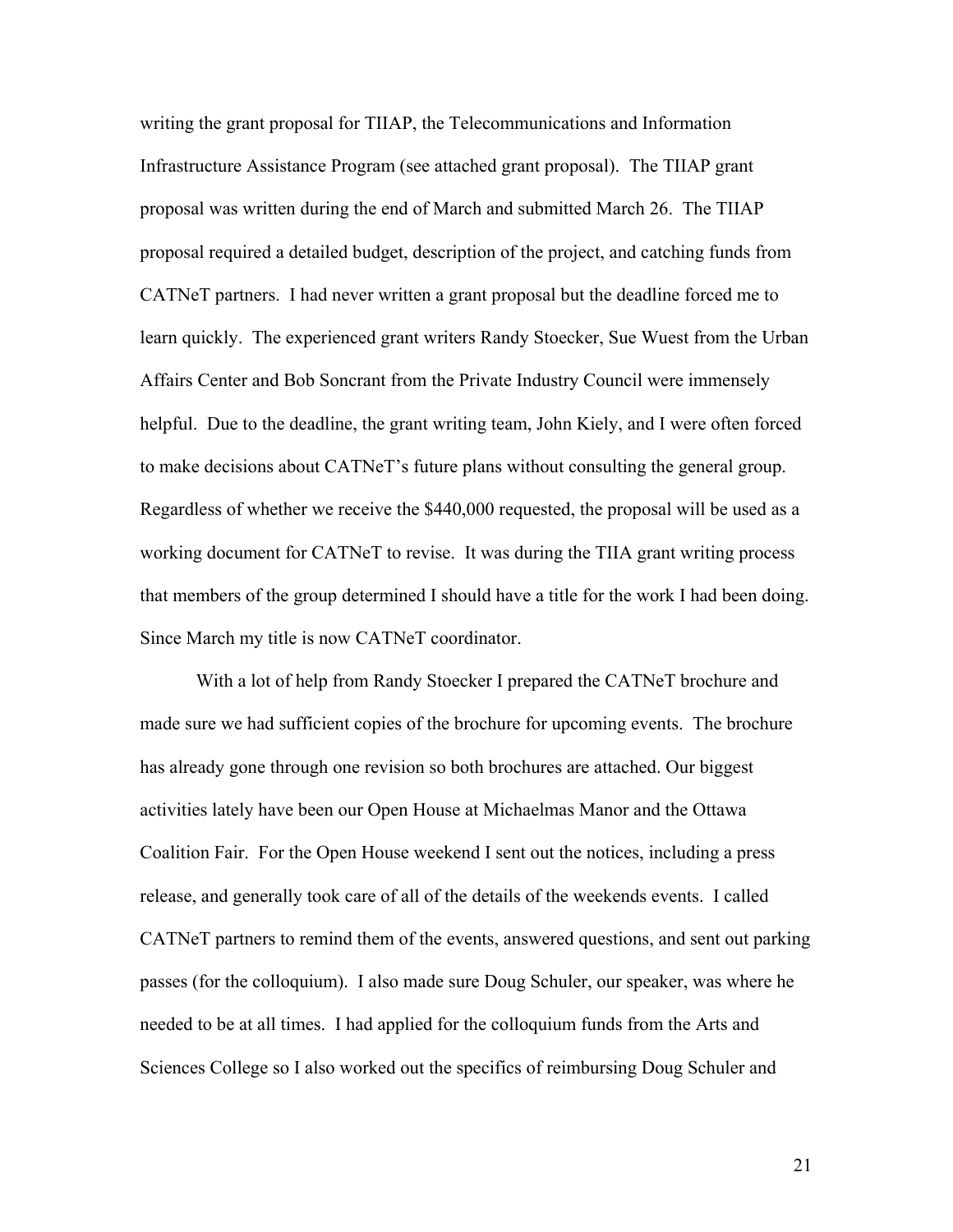writing the grant proposal for TIIAP, the Telecommunications and Information Infrastructure Assistance Program (see attached grant proposal). The TIIAP grant proposal was written during the end of March and submitted March 26. The TIIAP proposal required a detailed budget, description of the project, and catching funds from CATNeT partners. I had never written a grant proposal but the deadline forced me to learn quickly. The experienced grant writers Randy Stoecker, Sue Wuest from the Urban Affairs Center and Bob Soncrant from the Private Industry Council were immensely helpful. Due to the deadline, the grant writing team, John Kiely, and I were often forced to make decisions about CATNeT's future plans without consulting the general group. Regardless of whether we receive the \$440,000 requested, the proposal will be used as a working document for CATNeT to revise. It was during the TIIA grant writing process that members of the group determined I should have a title for the work I had been doing. Since March my title is now CATNeT coordinator.

 With a lot of help from Randy Stoecker I prepared the CATNeT brochure and made sure we had sufficient copies of the brochure for upcoming events. The brochure has already gone through one revision so both brochures are attached. Our biggest activities lately have been our Open House at Michaelmas Manor and the Ottawa Coalition Fair. For the Open House weekend I sent out the notices, including a press release, and generally took care of all of the details of the weekends events. I called CATNeT partners to remind them of the events, answered questions, and sent out parking passes (for the colloquium). I also made sure Doug Schuler, our speaker, was where he needed to be at all times. I had applied for the colloquium funds from the Arts and Sciences College so I also worked out the specifics of reimbursing Doug Schuler and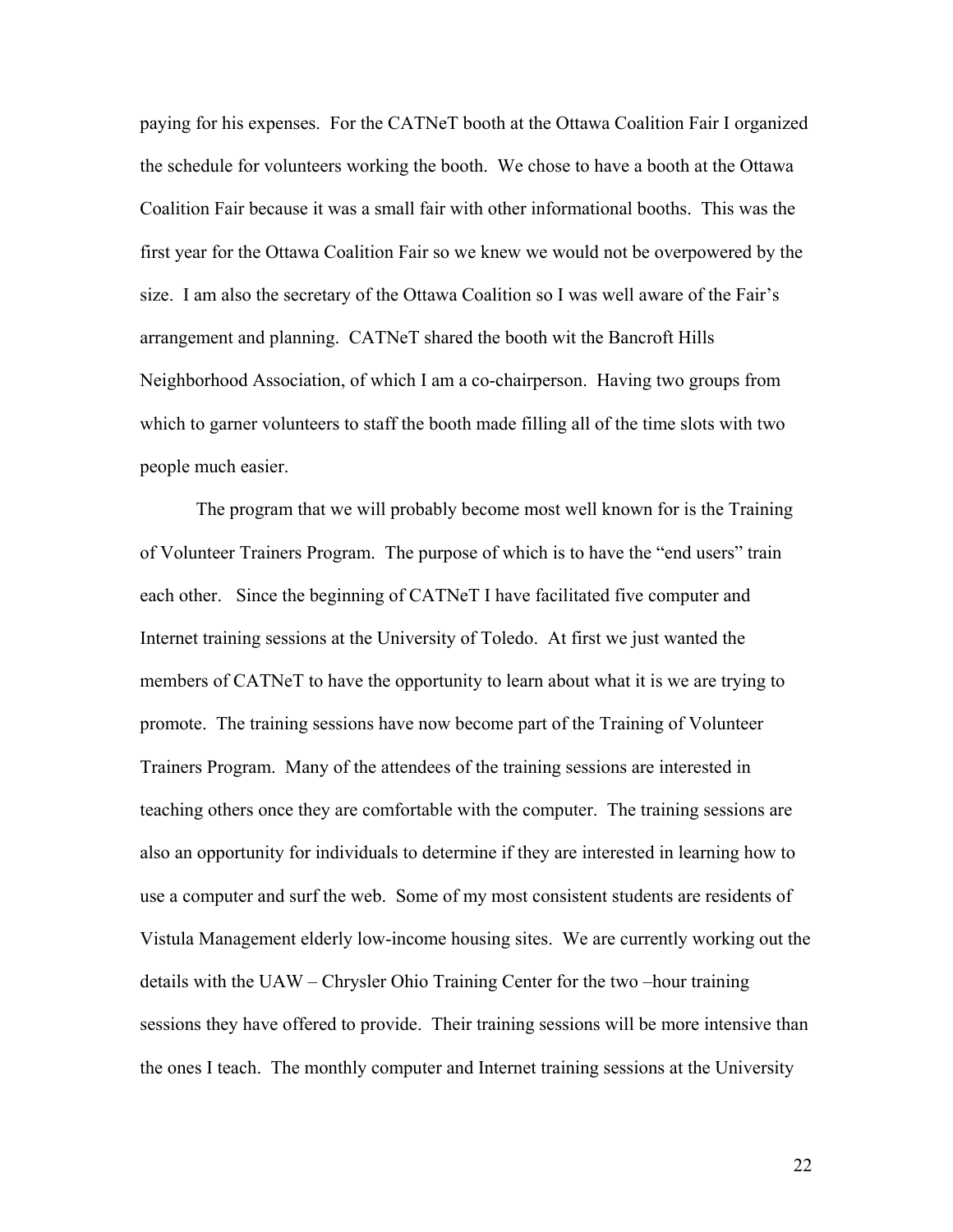paying for his expenses. For the CATNeT booth at the Ottawa Coalition Fair I organized the schedule for volunteers working the booth. We chose to have a booth at the Ottawa Coalition Fair because it was a small fair with other informational booths. This was the first year for the Ottawa Coalition Fair so we knew we would not be overpowered by the size. I am also the secretary of the Ottawa Coalition so I was well aware of the Fair's arrangement and planning. CATNeT shared the booth wit the Bancroft Hills Neighborhood Association, of which I am a co-chairperson. Having two groups from which to garner volunteers to staff the booth made filling all of the time slots with two people much easier.

 The program that we will probably become most well known for is the Training of Volunteer Trainers Program. The purpose of which is to have the "end users" train each other. Since the beginning of CATNeT I have facilitated five computer and Internet training sessions at the University of Toledo. At first we just wanted the members of CATNeT to have the opportunity to learn about what it is we are trying to promote. The training sessions have now become part of the Training of Volunteer Trainers Program. Many of the attendees of the training sessions are interested in teaching others once they are comfortable with the computer. The training sessions are also an opportunity for individuals to determine if they are interested in learning how to use a computer and surf the web. Some of my most consistent students are residents of Vistula Management elderly low-income housing sites. We are currently working out the details with the UAW – Chrysler Ohio Training Center for the two –hour training sessions they have offered to provide. Their training sessions will be more intensive than the ones I teach. The monthly computer and Internet training sessions at the University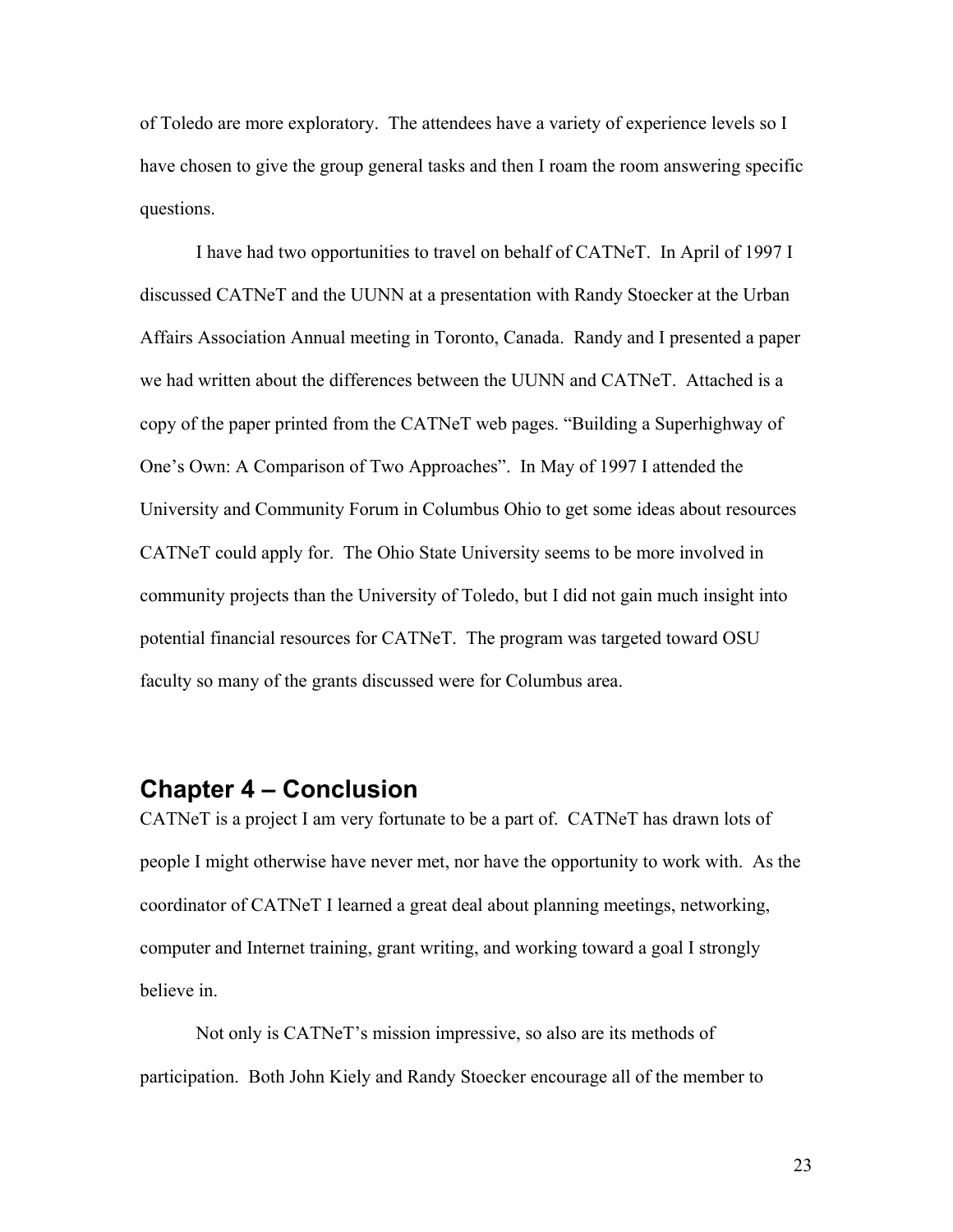of Toledo are more exploratory. The attendees have a variety of experience levels so I have chosen to give the group general tasks and then I roam the room answering specific questions.

 I have had two opportunities to travel on behalf of CATNeT. In April of 1997 I discussed CATNeT and the UUNN at a presentation with Randy Stoecker at the Urban Affairs Association Annual meeting in Toronto, Canada. Randy and I presented a paper we had written about the differences between the UUNN and CATNeT. Attached is a copy of the paper printed from the CATNeT web pages. "Building a Superhighway of One's Own: A Comparison of Two Approaches". In May of 1997 I attended the University and Community Forum in Columbus Ohio to get some ideas about resources CATNeT could apply for. The Ohio State University seems to be more involved in community projects than the University of Toledo, but I did not gain much insight into potential financial resources for CATNeT. The program was targeted toward OSU faculty so many of the grants discussed were for Columbus area.

# **Chapter 4 – Conclusion**

CATNeT is a project I am very fortunate to be a part of. CATNeT has drawn lots of people I might otherwise have never met, nor have the opportunity to work with. As the coordinator of CATNeT I learned a great deal about planning meetings, networking, computer and Internet training, grant writing, and working toward a goal I strongly believe in.

 Not only is CATNeT's mission impressive, so also are its methods of participation. Both John Kiely and Randy Stoecker encourage all of the member to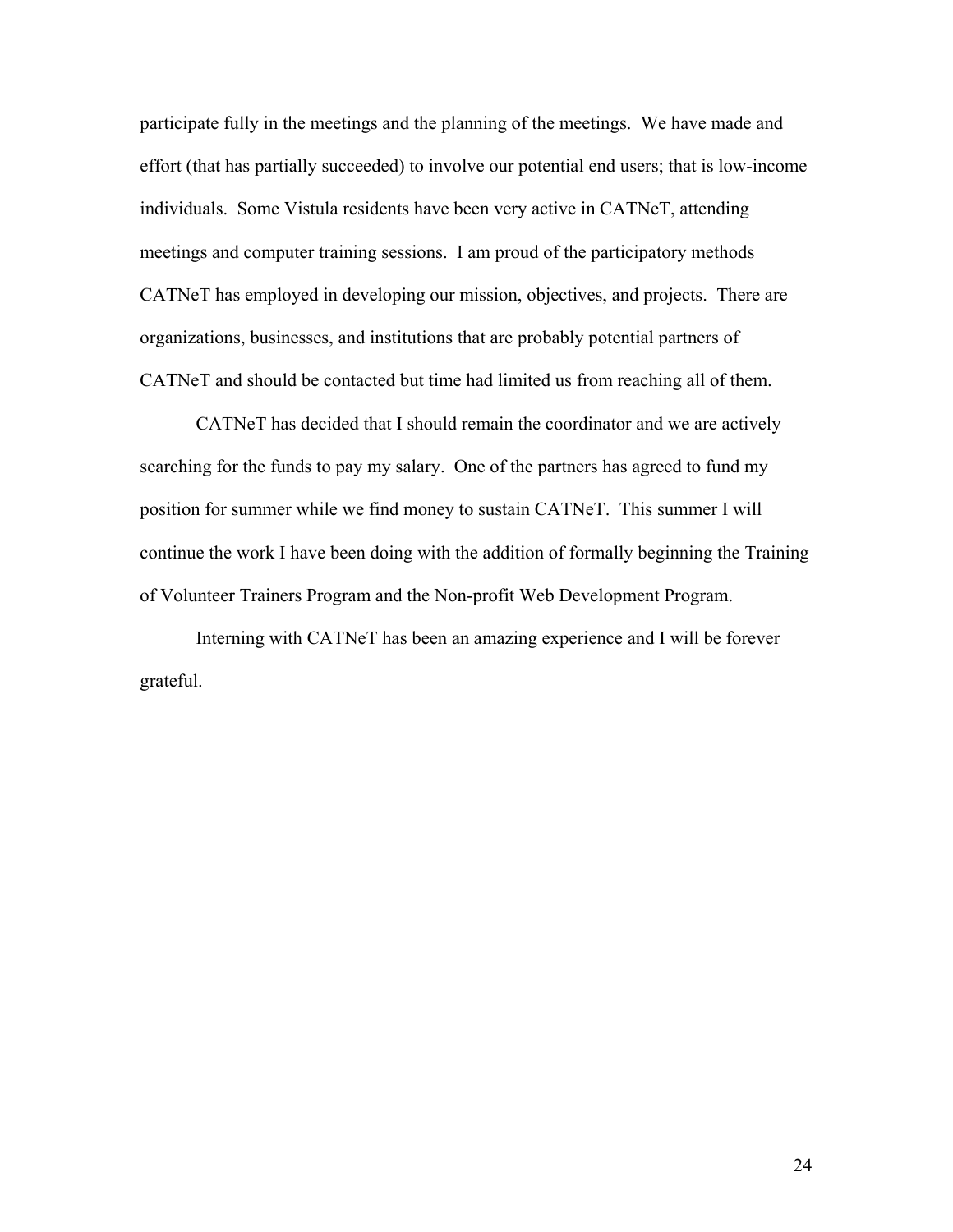participate fully in the meetings and the planning of the meetings. We have made and effort (that has partially succeeded) to involve our potential end users; that is low-income individuals. Some Vistula residents have been very active in CATNeT, attending meetings and computer training sessions. I am proud of the participatory methods CATNeT has employed in developing our mission, objectives, and projects. There are organizations, businesses, and institutions that are probably potential partners of CATNeT and should be contacted but time had limited us from reaching all of them.

 CATNeT has decided that I should remain the coordinator and we are actively searching for the funds to pay my salary. One of the partners has agreed to fund my position for summer while we find money to sustain CATNeT. This summer I will continue the work I have been doing with the addition of formally beginning the Training of Volunteer Trainers Program and the Non-profit Web Development Program.

 Interning with CATNeT has been an amazing experience and I will be forever grateful.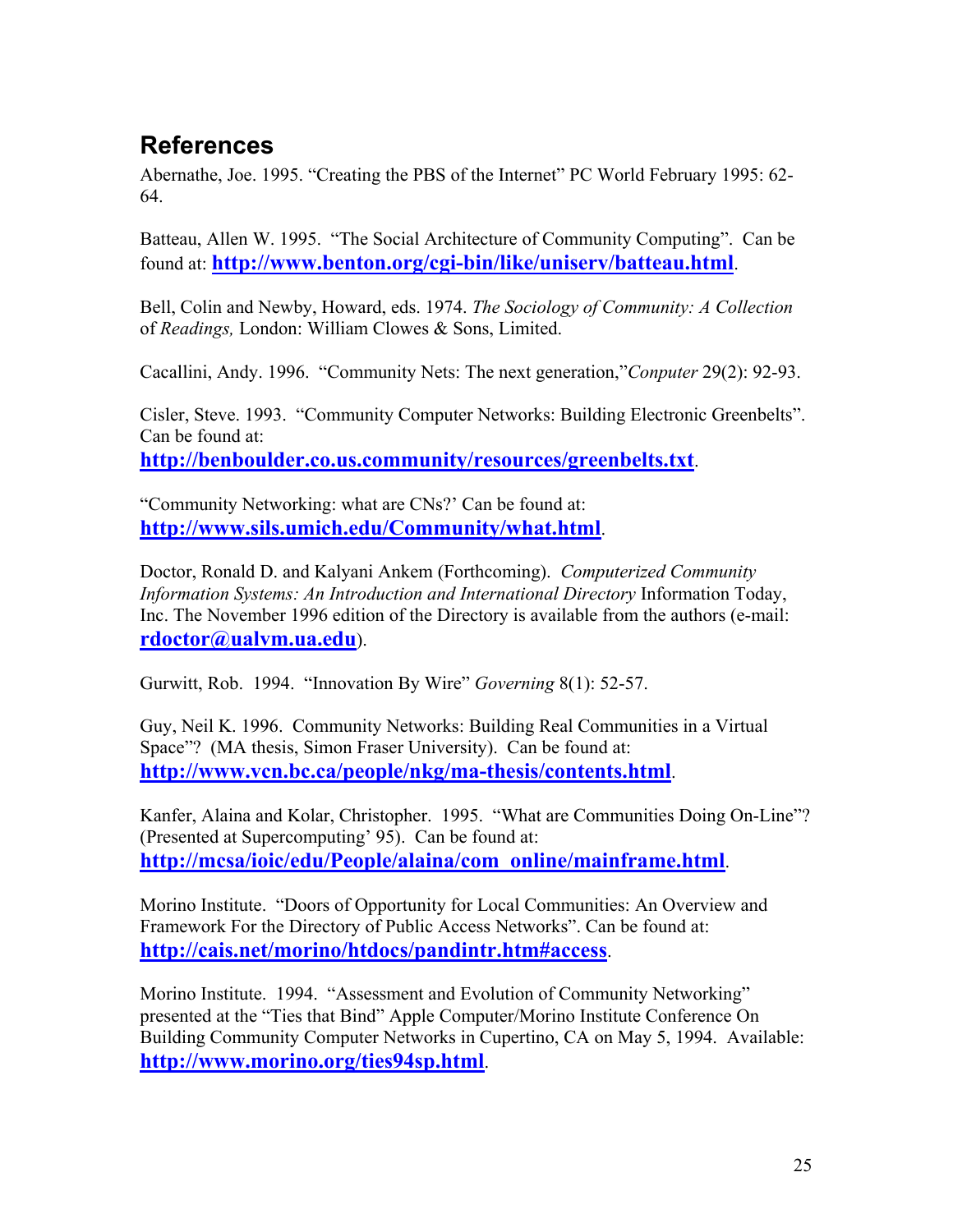# **References**

Abernathe, Joe. 1995. "Creating the PBS of the Internet" PC World February 1995: 62- 64.

Batteau, Allen W. 1995. "The Social Architecture of Community Computing". Can be found at: **http://www.benton.org/cgi-bin/like/uniserv/batteau.html**.

Bell, Colin and Newby, Howard, eds. 1974. *The Sociology of Community: A Collection* of *Readings,* London: William Clowes & Sons, Limited.

Cacallini, Andy. 1996. "Community Nets: The next generation,"*Conputer* 29(2): 92-93.

Cisler, Steve. 1993. "Community Computer Networks: Building Electronic Greenbelts". Can be found at: **http://benboulder.co.us.community/resources/greenbelts.txt**.

"Community Networking: what are CNs?' Can be found at: **http://www.sils.umich.edu/Community/what.html**.

Doctor, Ronald D. and Kalyani Ankem (Forthcoming). *Computerized Community Information Systems: An Introduction and International Directory* Information Today, Inc. The November 1996 edition of the Directory is available from the authors (e-mail: **rdoctor@ualvm.ua.edu**).

Gurwitt, Rob. 1994. "Innovation By Wire" *Governing* 8(1): 52-57.

Guy, Neil K. 1996. Community Networks: Building Real Communities in a Virtual Space"? (MA thesis, Simon Fraser University). Can be found at: **http://www.vcn.bc.ca/people/nkg/ma-thesis/contents.html**.

Kanfer, Alaina and Kolar, Christopher. 1995. "What are Communities Doing On-Line"? (Presented at Supercomputing' 95). Can be found at: **http://mcsa/ioic/edu/People/alaina/com\_online/mainframe.html**.

Morino Institute. "Doors of Opportunity for Local Communities: An Overview and Framework For the Directory of Public Access Networks". Can be found at: **http://cais.net/morino/htdocs/pandintr.htm#access**.

Morino Institute. 1994. "Assessment and Evolution of Community Networking" presented at the "Ties that Bind" Apple Computer/Morino Institute Conference On Building Community Computer Networks in Cupertino, CA on May 5, 1994. Available: **http://www.morino.org/ties94sp.html**.